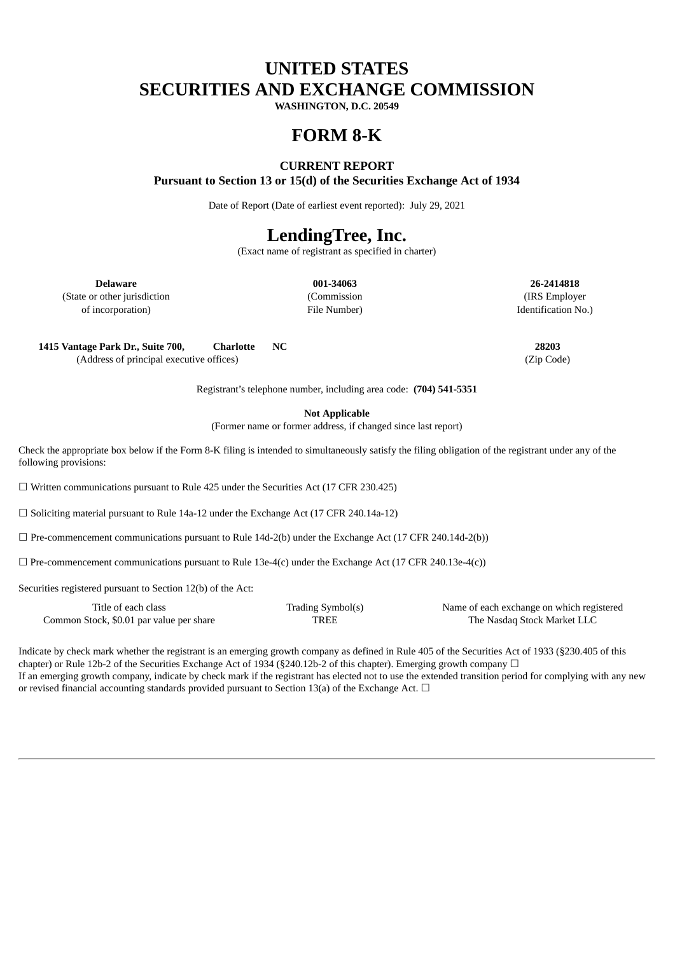# **UNITED STATES SECURITIES AND EXCHANGE COMMISSION**

**WASHINGTON, D.C. 20549**

## **FORM 8-K**

### **CURRENT REPORT**

**Pursuant to Section 13 or 15(d) of the Securities Exchange Act of 1934**

Date of Report (Date of earliest event reported): July 29, 2021

## **LendingTree, Inc.**

(Exact name of registrant as specified in charter)

**Delaware 001-34063 26-2414818** (State or other jurisdiction (Commission (IRS Employer of incorporation) File Number) Identification No.)

**1415 Vantage Park Dr., Suite 700, Charlotte NC 28203**

(Address of principal executive offices) (Zip Code)

Registrant's telephone number, including area code: **(704) 541-5351**

**Not Applicable**

(Former name or former address, if changed since last report)

Check the appropriate box below if the Form 8-K filing is intended to simultaneously satisfy the filing obligation of the registrant under any of the following provisions:

☐ Written communications pursuant to Rule 425 under the Securities Act (17 CFR 230.425)

☐ Soliciting material pursuant to Rule 14a-12 under the Exchange Act (17 CFR 240.14a-12)

 $\Box$  Pre-commencement communications pursuant to Rule 14d-2(b) under the Exchange Act (17 CFR 240.14d-2(b))

 $\Box$  Pre-commencement communications pursuant to Rule 13e-4(c) under the Exchange Act (17 CFR 240.13e-4(c))

Securities registered pursuant to Section 12(b) of the Act:

| Title of each class                      | Trading Symbol(s) | Name of each exchange on which registered |
|------------------------------------------|-------------------|-------------------------------------------|
| Common Stock, \$0.01 par value per share | <b>TREE</b>       | The Nasdag Stock Market LLC               |

Indicate by check mark whether the registrant is an emerging growth company as defined in Rule 405 of the Securities Act of 1933 (§230.405 of this chapter) or Rule 12b-2 of the Securities Exchange Act of 1934 (§240.12b-2 of this chapter). Emerging growth company  $\Box$ If an emerging growth company, indicate by check mark if the registrant has elected not to use the extended transition period for complying with any new or revised financial accounting standards provided pursuant to Section 13(a) of the Exchange Act.  $\Box$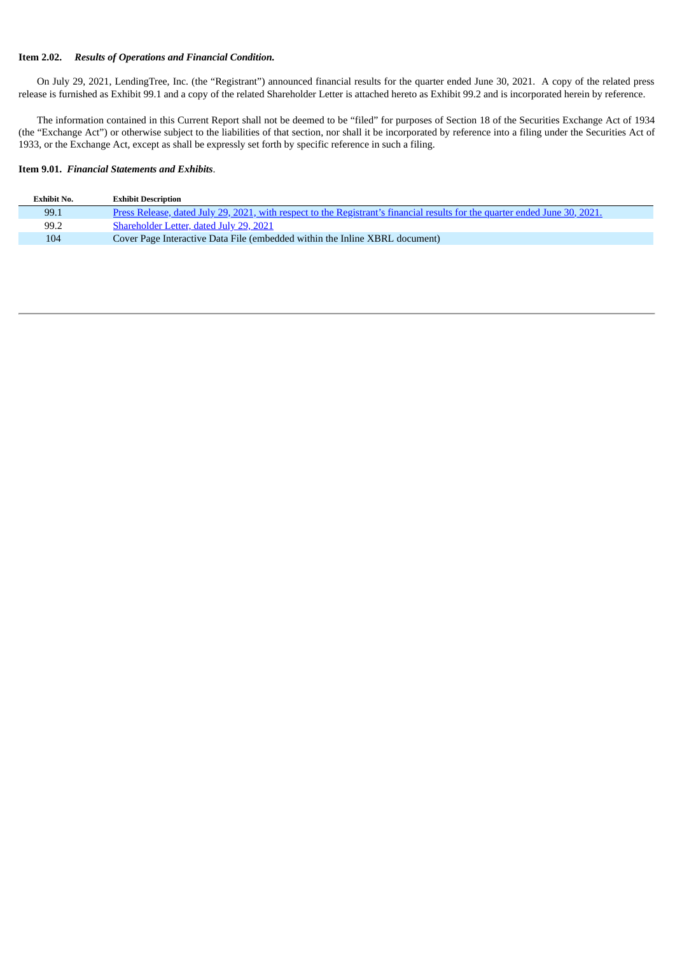#### **Item 2.02.** *Results of Operations and Financial Condition.*

On July 29, 2021, LendingTree, Inc. (the "Registrant") announced financial results for the quarter ended June 30, 2021. A copy of the related press release is furnished as Exhibit 99.1 and a copy of the related Shareholder Letter is attached hereto as Exhibit 99.2 and is incorporated herein by reference.

The information contained in this Current Report shall not be deemed to be "filed" for purposes of Section 18 of the Securities Exchange Act of 1934 (the "Exchange Act") or otherwise subject to the liabilities of that section, nor shall it be incorporated by reference into a filing under the Securities Act of 1933, or the Exchange Act, except as shall be expressly set forth by specific reference in such a filing.

#### **Item 9.01.** *Financial Statements and Exhibits*.

| Exhibit No. | <b>Exhibit Description</b>                                                                                                  |
|-------------|-----------------------------------------------------------------------------------------------------------------------------|
| 99.1        | Press Release, dated July 29, 2021, with respect to the Registrant's financial results for the quarter ended June 30, 2021. |
| 99.2        | Shareholder Letter, dated July 29, 2021                                                                                     |
| 104         | Cover Page Interactive Data File (embedded within the Inline XBRL document)                                                 |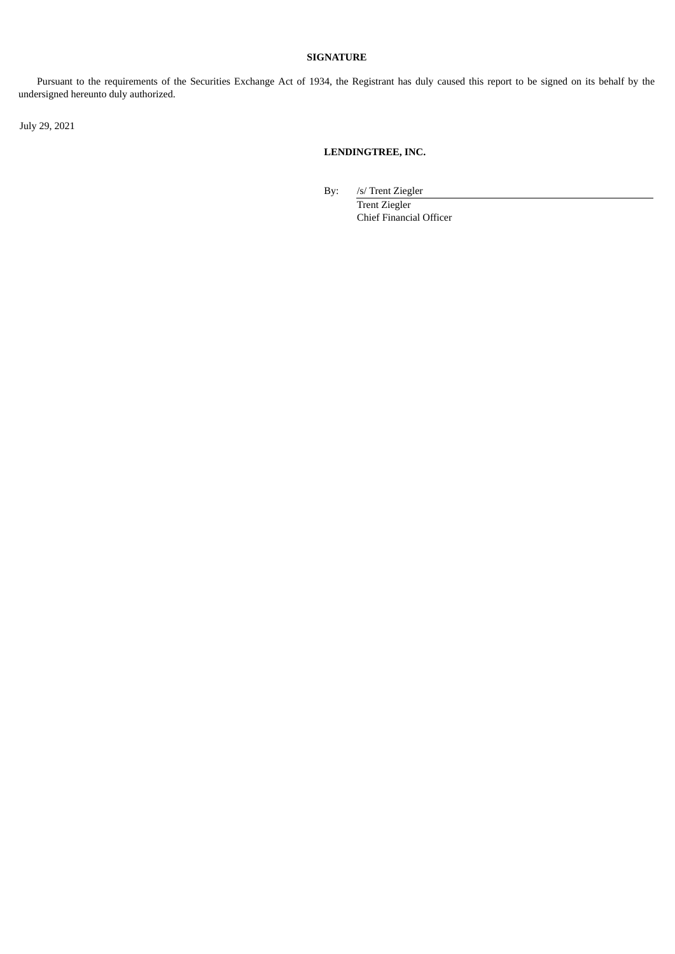### **SIGNATURE**

Pursuant to the requirements of the Securities Exchange Act of 1934, the Registrant has duly caused this report to be signed on its behalf by the undersigned hereunto duly authorized.

July 29, 2021

### **LENDINGTREE, INC.**

By: /s/ Trent Ziegler Trent Ziegler

Chief Financial Officer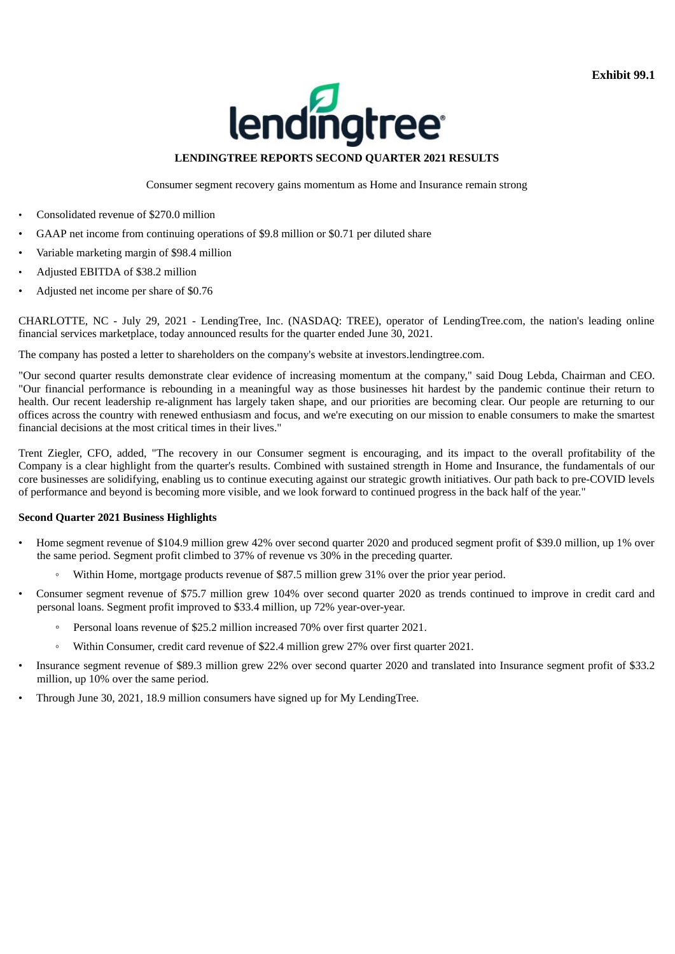**Exhibit 99.1**



### **LENDINGTREE REPORTS SECOND QUARTER 2021 RESULTS**

Consumer segment recovery gains momentum as Home and Insurance remain strong

- <span id="page-3-0"></span>• Consolidated revenue of \$270.0 million
- GAAP net income from continuing operations of \$9.8 million or \$0.71 per diluted share
- Variable marketing margin of \$98.4 million
- Adjusted EBITDA of \$38.2 million
- Adjusted net income per share of \$0.76

CHARLOTTE, NC - July 29, 2021 - LendingTree, Inc. (NASDAQ: TREE), operator of LendingTree.com, the nation's leading online financial services marketplace, today announced results for the quarter ended June 30, 2021.

The company has posted a letter to shareholders on the company's website at investors.lendingtree.com.

"Our second quarter results demonstrate clear evidence of increasing momentum at the company," said Doug Lebda, Chairman and CEO. "Our financial performance is rebounding in a meaningful way as those businesses hit hardest by the pandemic continue their return to health. Our recent leadership re-alignment has largely taken shape, and our priorities are becoming clear. Our people are returning to our offices across the country with renewed enthusiasm and focus, and we're executing on our mission to enable consumers to make the smartest financial decisions at the most critical times in their lives."

Trent Ziegler, CFO, added, "The recovery in our Consumer segment is encouraging, and its impact to the overall profitability of the Company is a clear highlight from the quarter's results. Combined with sustained strength in Home and Insurance, the fundamentals of our core businesses are solidifying, enabling us to continue executing against our strategic growth initiatives. Our path back to pre-COVID levels of performance and beyond is becoming more visible, and we look forward to continued progress in the back half of the year."

### **Second Quarter 2021 Business Highlights**

- Home segment revenue of \$104.9 million grew 42% over second quarter 2020 and produced segment profit of \$39.0 million, up 1% over the same period. Segment profit climbed to 37% of revenue vs 30% in the preceding quarter.
	- Within Home, mortgage products revenue of \$87.5 million grew 31% over the prior year period.
- Consumer segment revenue of \$75.7 million grew 104% over second quarter 2020 as trends continued to improve in credit card and personal loans. Segment profit improved to \$33.4 million, up 72% year-over-year.
	- Personal loans revenue of \$25.2 million increased 70% over first quarter 2021.
	- Within Consumer, credit card revenue of \$22.4 million grew 27% over first quarter 2021.
- Insurance segment revenue of \$89.3 million grew 22% over second quarter 2020 and translated into Insurance segment profit of \$33.2 million, up 10% over the same period.
- Through June 30, 2021, 18.9 million consumers have signed up for My LendingTree.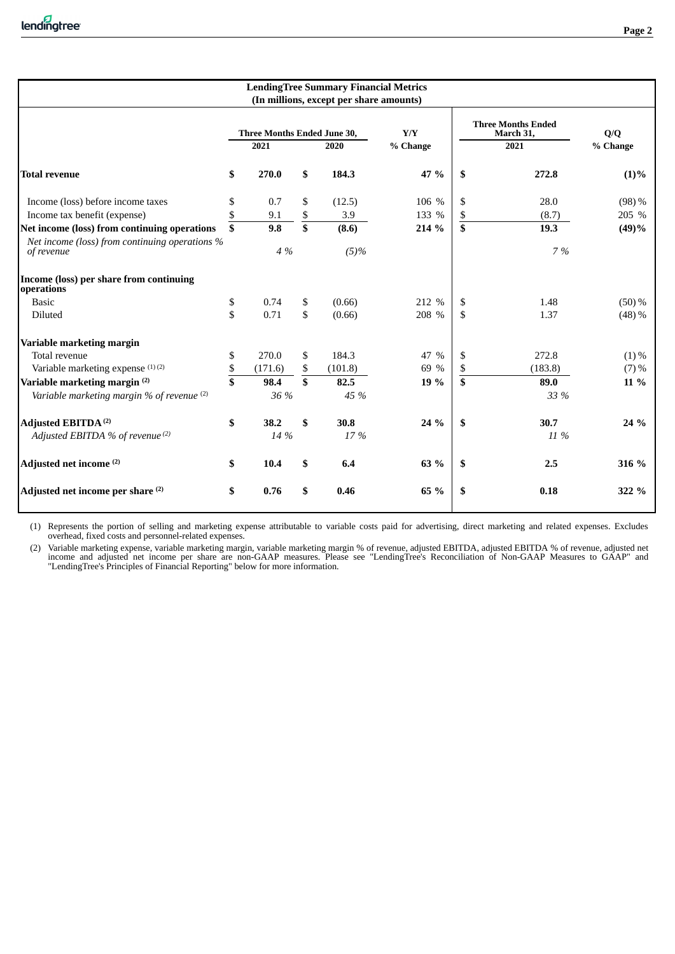|                                                              | <b>LendingTree Summary Financial Metrics</b><br>(In millions, except per share amounts) |                             |                         |         |          |                         |                                        |                         |  |  |  |  |
|--------------------------------------------------------------|-----------------------------------------------------------------------------------------|-----------------------------|-------------------------|---------|----------|-------------------------|----------------------------------------|-------------------------|--|--|--|--|
|                                                              |                                                                                         | Three Months Ended June 30, |                         |         | Y/Y      |                         | <b>Three Months Ended</b><br>March 31, | $\mathbf{Q}/\mathbf{Q}$ |  |  |  |  |
|                                                              |                                                                                         | 2021                        |                         | 2020    | % Change |                         | 2021                                   | % Change                |  |  |  |  |
| <b>Total revenue</b>                                         | \$                                                                                      | 270.0                       | \$                      | 184.3   | 47 %     | \$                      | 272.8                                  | $(1)\%$                 |  |  |  |  |
| Income (loss) before income taxes                            | \$                                                                                      | 0.7                         | \$                      | (12.5)  | 106 %    | \$                      | 28.0                                   | $(98)$ %                |  |  |  |  |
| Income tax benefit (expense)                                 | \$                                                                                      | 9.1                         |                         | 3.9     | 133 %    | \$                      | (8.7)                                  | 205 %                   |  |  |  |  |
| Net income (loss) from continuing operations                 | $\overline{\$}$                                                                         | 9.8                         | $rac{1}{5}$             | (8.6)   | 214 %    | $\overline{\mathbf{s}}$ | 19.3                                   | (49)%                   |  |  |  |  |
| Net income (loss) from continuing operations %<br>of revenue |                                                                                         | 4 %                         |                         | $(5)$ % |          |                         | 7 %                                    |                         |  |  |  |  |
| Income (loss) per share from continuing<br>operations        |                                                                                         |                             |                         |         |          |                         |                                        |                         |  |  |  |  |
| <b>Basic</b>                                                 | \$                                                                                      | 0.74                        | \$                      | (0.66)  | 212 %    | \$                      | 1.48                                   | $(50) \%$               |  |  |  |  |
| Diluted                                                      | \$                                                                                      | 0.71                        | \$                      | (0.66)  | 208 %    | \$                      | 1.37                                   | $(48) \%$               |  |  |  |  |
| Variable marketing margin                                    |                                                                                         |                             |                         |         |          |                         |                                        |                         |  |  |  |  |
| Total revenue                                                | \$                                                                                      | 270.0                       | \$                      | 184.3   | 47 %     | \$                      | 272.8                                  | $(1)\%$                 |  |  |  |  |
| Variable marketing expense (1)(2)                            | \$                                                                                      | (171.6)                     | \$                      | (101.8) | 69 %     | \$                      | (183.8)                                | $(7) \%$                |  |  |  |  |
| Variable marketing margin <sup>(2)</sup>                     | $\overline{\mathbf{s}}$                                                                 | 98.4                        | $\overline{\mathbf{s}}$ | 82.5    | 19 %     | \$                      | 89.0                                   | 11 %                    |  |  |  |  |
| Variable marketing margin % of revenue (2)                   |                                                                                         | 36 %                        |                         | 45 %    |          |                         | 33 %                                   |                         |  |  |  |  |
| <b>Adjusted EBITDA<sup>(2)</sup></b>                         | \$                                                                                      | 38.2                        | \$                      | 30.8    | 24 %     | \$                      | 30.7                                   | 24 %                    |  |  |  |  |
| Adjusted EBITDA % of revenue <sup>(2)</sup>                  |                                                                                         | 14 %                        |                         | 17%     |          |                         | 11 %                                   |                         |  |  |  |  |
| Adjusted net income <sup>(2)</sup>                           | \$                                                                                      | 10.4                        | \$                      | 6.4     | 63 %     | \$                      | 2.5                                    | 316 %                   |  |  |  |  |
| Adjusted net income per share (2)                            | \$                                                                                      | 0.76                        | \$                      | 0.46    | 65 %     | \$                      | 0.18                                   | 322 %                   |  |  |  |  |
|                                                              |                                                                                         |                             |                         |         |          |                         |                                        |                         |  |  |  |  |

(1) Represents the portion of selling and marketing expense attributable to variable costs paid for advertising, direct marketing and related expenses. Excludes overhead, fixed costs and personnel-related expenses.

(2) Variable marketing expense, variable marketing margin, variable marketing margin % of revenue, adjusted EBITDA, adjusted EBITDA % of revenue, adjusted net income and adjusted net income per share are non-GAAP measures. Please see "LendingTree's Reconciliation of Non-GAAP Measures to GAAP" and "LendingTree's Principles of Financial Reporting" below for more information.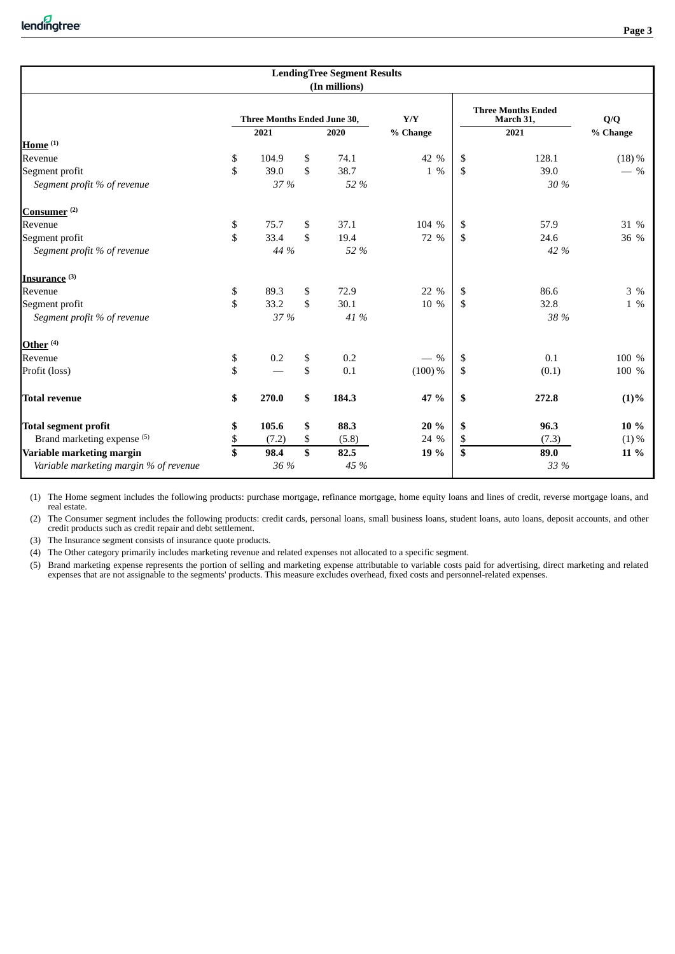|                                        |                             | <b>LendingTree Segment Results</b> |           |    |                                        |          |
|----------------------------------------|-----------------------------|------------------------------------|-----------|----|----------------------------------------|----------|
|                                        |                             | (In millions)                      |           |    |                                        |          |
|                                        | Three Months Ended June 30, |                                    | Y/Y       |    | <b>Three Months Ended</b><br>March 31, | Q/Q      |
|                                        | 2021                        | 2020                               | % Change  |    | 2021                                   | % Change |
| Home $(1)$                             |                             |                                    |           |    |                                        |          |
| Revenue                                | \$<br>104.9                 | \$<br>74.1                         | 42 %      | \$ | 128.1                                  | $(18)\%$ |
| Segment profit                         | \$<br>39.0                  | \$<br>38.7                         | 1 %       | \$ | 39.0                                   | $-$ %    |
| Segment profit % of revenue            | 37 %                        | 52 %                               |           |    | 30 %                                   |          |
| Consumer <sup>(2)</sup>                |                             |                                    |           |    |                                        |          |
| Revenue                                | \$<br>75.7                  | \$<br>37.1                         | 104 %     | \$ | 57.9                                   | 31 %     |
| Segment profit                         | \$<br>33.4                  | \$<br>19.4                         | 72 %      | S. | 24.6                                   | 36 %     |
| Segment profit % of revenue            | 44 %                        | 52 %                               |           |    | 42 %                                   |          |
| Insurance <sup>(3)</sup>               |                             |                                    |           |    |                                        |          |
| Revenue                                | \$<br>89.3                  | \$<br>72.9                         | 22 %      | \$ | 86.6                                   | 3 %      |
| Segment profit                         | \$<br>33.2                  | \$<br>30.1                         | 10 %      | \$ | 32.8                                   | $1 \ \%$ |
| Segment profit % of revenue            | 37 %                        | 41 %                               |           |    | 38 %                                   |          |
| Other <sup>(4)</sup>                   |                             |                                    |           |    |                                        |          |
| Revenue                                | \$<br>0.2                   | \$<br>0.2                          | $-$ %     | S. | 0.1                                    | 100 %    |
| Profit (loss)                          | \$                          | \$<br>0.1                          | $(100)\%$ | \$ | (0.1)                                  | 100 %    |
| Total revenue                          | \$<br>270.0                 | \$<br>184.3                        | 47 %      | \$ | 272.8                                  | $(1)\%$  |
| <b>Total segment profit</b>            | \$<br>105.6                 | \$<br>88.3                         | 20 %      | \$ | 96.3                                   | 10 %     |
| Brand marketing expense (5)            | \$<br>(7.2)                 | \$<br>(5.8)                        | 24 %      | \$ | (7.3)                                  | $(1)\%$  |
| Variable marketing margin              | \$<br>98.4                  | \$<br>82.5                         | 19 %      | \$ | 89.0                                   | 11 %     |
| Variable marketing margin % of revenue | 36 %                        | 45 %                               |           |    | 33 %                                   |          |

(1) The Home segment includes the following products: purchase mortgage, refinance mortgage, home equity loans and lines of credit, reverse mortgage loans, and real estate.

(2) The Consumer segment includes the following products: credit cards, personal loans, small business loans, student loans, auto loans, deposit accounts, and other credit products such as credit repair and debt settlement.

(3) The Insurance segment consists of insurance quote products.

(4) The Other category primarily includes marketing revenue and related expenses not allocated to a specific segment.

(5) Brand marketing expense represents the portion of selling and marketing expense attributable to variable costs paid for advertising, direct marketing and related expenses that are not assignable to the segments' products. This measure excludes overhead, fixed costs and personnel-related expenses.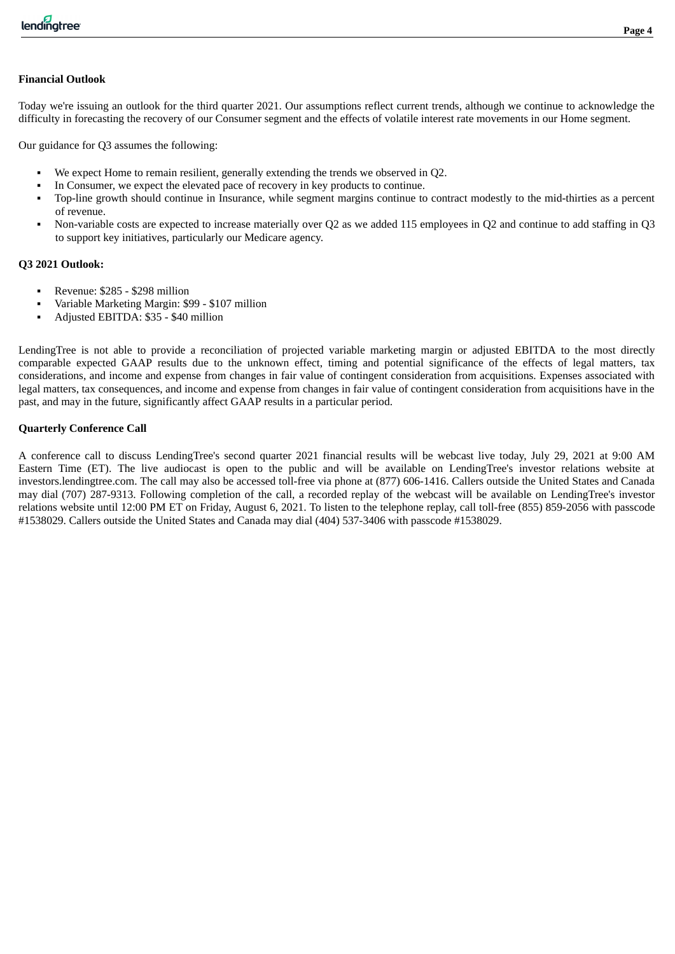### **Financial Outlook**

Today we're issuing an outlook for the third quarter 2021. Our assumptions reflect current trends, although we continue to acknowledge the difficulty in forecasting the recovery of our Consumer segment and the effects of volatile interest rate movements in our Home segment.

Our guidance for Q3 assumes the following:

- We expect Home to remain resilient, generally extending the trends we observed in O2.
- In Consumer, we expect the elevated pace of recovery in key products to continue.
- Top-line growth should continue in Insurance, while segment margins continue to contract modestly to the mid-thirties as a percent of revenue.
- Non-variable costs are expected to increase materially over Q2 as we added 115 employees in Q2 and continue to add staffing in Q3 to support key initiatives, particularly our Medicare agency.

### **Q3 2021 Outlook:**

- Revenue: \$285 \$298 million
- Variable Marketing Margin: \$99 \$107 million
- Adjusted EBITDA: \$35 \$40 million

LendingTree is not able to provide a reconciliation of projected variable marketing margin or adjusted EBITDA to the most directly comparable expected GAAP results due to the unknown effect, timing and potential significance of the effects of legal matters, tax considerations, and income and expense from changes in fair value of contingent consideration from acquisitions. Expenses associated with legal matters, tax consequences, and income and expense from changes in fair value of contingent consideration from acquisitions have in the past, and may in the future, significantly affect GAAP results in a particular period.

### **Quarterly Conference Call**

A conference call to discuss LendingTree's second quarter 2021 financial results will be webcast live today, July 29, 2021 at 9:00 AM Eastern Time (ET). The live audiocast is open to the public and will be available on LendingTree's investor relations website at investors.lendingtree.com. The call may also be accessed toll-free via phone at (877) 606-1416. Callers outside the United States and Canada may dial (707) 287-9313. Following completion of the call, a recorded replay of the webcast will be available on LendingTree's investor relations website until 12:00 PM ET on Friday, August 6, 2021. To listen to the telephone replay, call toll-free (855) 859-2056 with passcode #1538029. Callers outside the United States and Canada may dial (404) 537-3406 with passcode #1538029.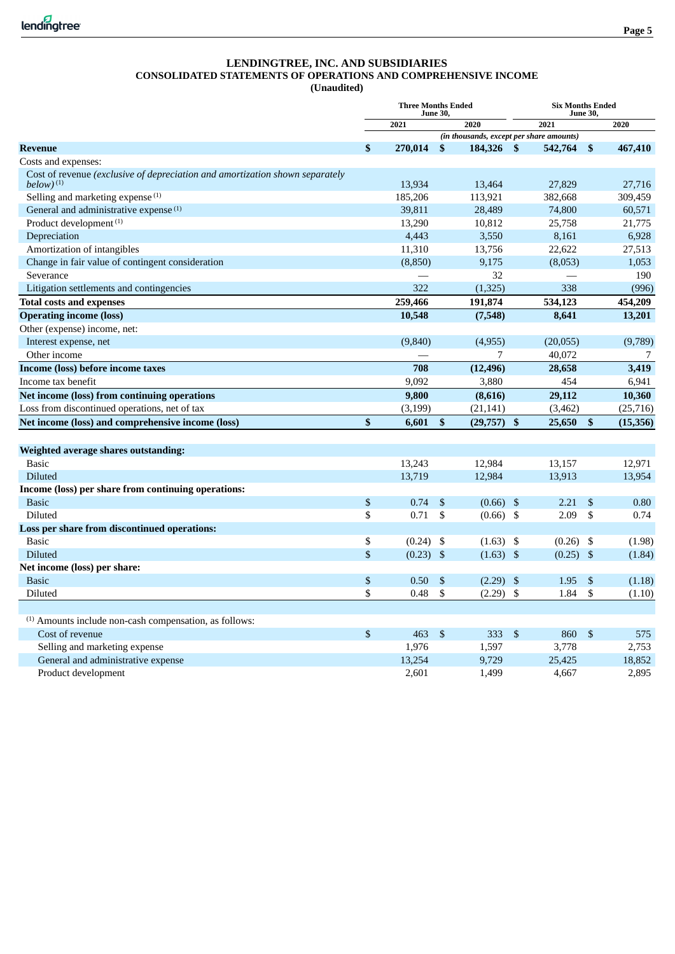**(Unaudited)**

|                                                                                                         | <b>Three Months Ended</b><br><b>June 30.</b> |             |                           |             |                           | <b>Six Months Ended</b><br><b>June 30.</b> |    |           |
|---------------------------------------------------------------------------------------------------------|----------------------------------------------|-------------|---------------------------|-------------|---------------------------|--------------------------------------------|----|-----------|
|                                                                                                         |                                              | 2021        |                           | 2020        |                           | 2021                                       |    | 2020      |
|                                                                                                         |                                              |             |                           |             |                           | (in thousands, except per share amounts)   |    |           |
| <b>Revenue</b>                                                                                          | \$                                           | 270.014     | $\mathbf{s}$              | 184,326     | <sup>\$</sup>             | 542,764                                    | \$ | 467,410   |
| Costs and expenses:                                                                                     |                                              |             |                           |             |                           |                                            |    |           |
| Cost of revenue (exclusive of depreciation and amortization shown separately<br>$below)$ <sup>(1)</sup> |                                              | 13,934      |                           | 13,464      |                           | 27,829                                     |    | 27,716    |
| Selling and marketing expense $(1)$                                                                     |                                              | 185,206     |                           | 113,921     |                           | 382,668                                    |    | 309,459   |
| General and administrative expense <sup>(1)</sup>                                                       |                                              | 39,811      |                           | 28,489      |                           | 74,800                                     |    | 60,571    |
| Product development <sup>(1)</sup>                                                                      |                                              | 13,290      |                           | 10,812      |                           | 25,758                                     |    | 21,775    |
| Depreciation                                                                                            |                                              | 4,443       |                           | 3,550       |                           | 8,161                                      |    | 6,928     |
| Amortization of intangibles                                                                             |                                              | 11,310      |                           | 13,756      |                           | 22,622                                     |    | 27,513    |
| Change in fair value of contingent consideration                                                        |                                              | (8,850)     |                           | 9.175       |                           | (8,053)                                    |    | 1,053     |
| Severance                                                                                               |                                              |             |                           | 32          |                           |                                            |    | 190       |
| Litigation settlements and contingencies                                                                |                                              | 322         |                           | (1,325)     |                           | 338                                        |    | (996)     |
| <b>Total costs and expenses</b>                                                                         |                                              | 259,466     |                           | 191,874     |                           | 534,123                                    |    | 454,209   |
| <b>Operating income (loss)</b>                                                                          |                                              | 10,548      |                           | (7,548)     |                           | 8,641                                      |    | 13,201    |
| Other (expense) income, net:                                                                            |                                              |             |                           |             |                           |                                            |    |           |
| Interest expense, net                                                                                   |                                              | (9,840)     |                           | (4,955)     |                           | (20, 055)                                  |    | (9,789)   |
| Other income                                                                                            |                                              |             |                           | 7           |                           | 40,072                                     |    | 7         |
| Income (loss) before income taxes                                                                       |                                              | 708         |                           | (12, 496)   |                           | 28,658                                     |    | 3,419     |
| Income tax benefit                                                                                      |                                              | 9,092       |                           | 3,880       |                           | 454                                        |    | 6,941     |
| Net income (loss) from continuing operations                                                            |                                              | 9,800       |                           | (8,616)     |                           | 29,112                                     |    | 10,360    |
| Loss from discontinued operations, net of tax                                                           |                                              | (3, 199)    |                           | (21, 141)   |                           | (3,462)                                    |    | (25, 716) |
| Net income (loss) and comprehensive income (loss)                                                       | \$                                           | 6,601       | $\mathbf{\$}$             | (29,757)    | \$                        | 25,650                                     | \$ | (15, 356) |
|                                                                                                         |                                              |             |                           |             |                           |                                            |    |           |
| Weighted average shares outstanding:                                                                    |                                              |             |                           |             |                           |                                            |    |           |
| <b>Basic</b>                                                                                            |                                              | 13,243      |                           | 12,984      |                           | 13,157                                     |    | 12,971    |
| Diluted                                                                                                 |                                              | 13,719      |                           | 12,984      |                           | 13,913                                     |    | 13,954    |
| Income (loss) per share from continuing operations:                                                     |                                              |             |                           |             |                           |                                            |    |           |
| <b>Basic</b>                                                                                            | \$                                           | 0.74        | \$                        | $(0.66)$ \$ |                           | 2.21                                       | \$ | 0.80      |
| Diluted                                                                                                 | \$                                           | 0.71        | - \$                      | $(0.66)$ \$ |                           | 2.09                                       | \$ | 0.74      |
| Loss per share from discontinued operations:                                                            |                                              |             |                           |             |                           |                                            |    |           |
| <b>Basic</b>                                                                                            | \$                                           | $(0.24)$ \$ |                           | (1.63)      | \$                        | (0.26)                                     | \$ | (1.98)    |
| <b>Diluted</b>                                                                                          | \$                                           | $(0.23)$ \$ |                           | $(1.63)$ \$ |                           | $(0.25)$ \$                                |    | (1.84)    |
| Net income (loss) per share:                                                                            |                                              |             |                           |             |                           |                                            |    |           |
| <b>Basic</b>                                                                                            | \$                                           | 0.50        | $\boldsymbol{\mathsf{S}}$ | (2.29)      | \$                        | 1.95                                       | \$ | (1.18)    |
| Diluted                                                                                                 | \$                                           | 0.48        | \$                        | (2.29)      | \$                        | 1.84                                       | \$ | (1.10)    |
|                                                                                                         |                                              |             |                           |             |                           |                                            |    |           |
| <sup>(1)</sup> Amounts include non-cash compensation, as follows:                                       |                                              |             |                           |             |                           |                                            |    |           |
| Cost of revenue                                                                                         | \$                                           | 463         | $\mathfrak{F}$            | 333         | $\boldsymbol{\mathsf{S}}$ | 860                                        | \$ | 575       |
| Selling and marketing expense                                                                           |                                              | 1,976       |                           | 1,597       |                           | 3,778                                      |    | 2,753     |
| General and administrative expense                                                                      |                                              | 13,254      |                           | 9,729       |                           | 25,425                                     |    | 18,852    |
| Product development                                                                                     |                                              | 2,601       |                           | 1,499       |                           | 4,667                                      |    | 2,895     |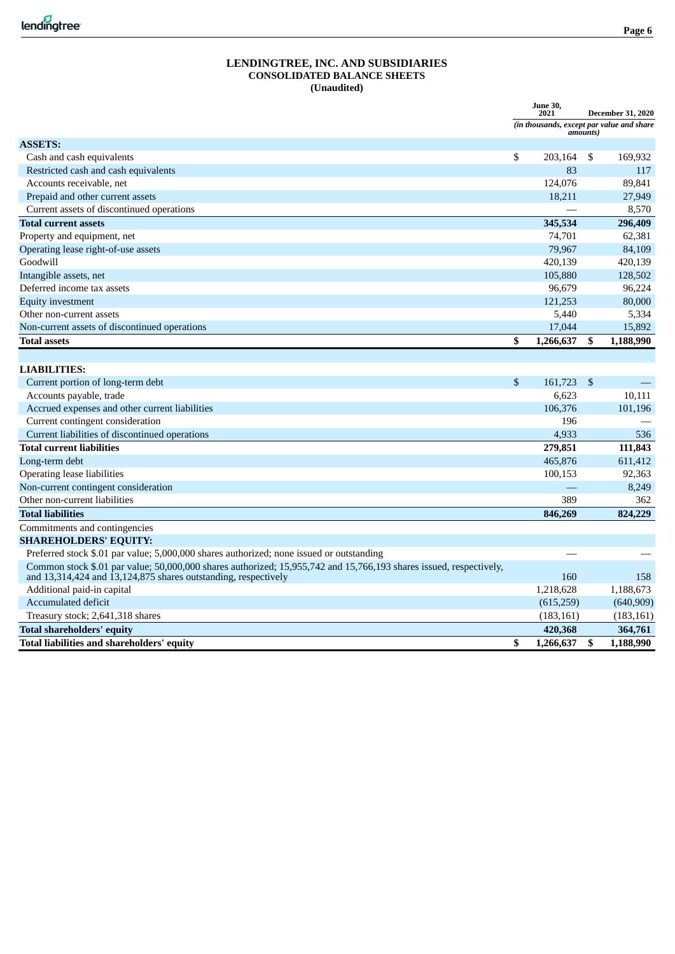|                                                                                                                                                                                      | <b>June 30,</b><br>2021                   |                           | <b>December 31, 2020</b> |
|--------------------------------------------------------------------------------------------------------------------------------------------------------------------------------------|-------------------------------------------|---------------------------|--------------------------|
|                                                                                                                                                                                      | (in thousands, except par value and share | amounts)                  |                          |
| <b>ASSETS:</b>                                                                                                                                                                       |                                           |                           |                          |
| Cash and cash equivalents                                                                                                                                                            | \$<br>203,164                             | S.                        | 169,932                  |
| Restricted cash and cash equivalents                                                                                                                                                 | 83                                        |                           | 117                      |
| Accounts receivable, net                                                                                                                                                             | 124,076                                   |                           | 89.841                   |
| Prepaid and other current assets                                                                                                                                                     | 18,211                                    |                           | 27,949                   |
| Current assets of discontinued operations                                                                                                                                            |                                           |                           | 8,570                    |
| <b>Total current assets</b>                                                                                                                                                          | 345,534                                   |                           | 296,409                  |
| Property and equipment, net                                                                                                                                                          | 74,701                                    |                           | 62,381                   |
| Operating lease right-of-use assets                                                                                                                                                  | 79,967                                    |                           | 84,109                   |
| Goodwill                                                                                                                                                                             | 420,139                                   |                           | 420,139                  |
| Intangible assets, net                                                                                                                                                               | 105,880                                   |                           | 128,502                  |
| Deferred income tax assets                                                                                                                                                           | 96,679                                    |                           | 96,224                   |
| <b>Equity investment</b>                                                                                                                                                             | 121,253                                   |                           | 80,000                   |
| Other non-current assets                                                                                                                                                             | 5,440                                     |                           | 5,334                    |
| Non-current assets of discontinued operations                                                                                                                                        | 17,044                                    |                           | 15,892                   |
| <b>Total assets</b>                                                                                                                                                                  | \$<br>1,266,637                           | \$                        | 1,188,990                |
|                                                                                                                                                                                      |                                           |                           |                          |
| <b>LIABILITIES:</b>                                                                                                                                                                  |                                           |                           |                          |
| Current portion of long-term debt                                                                                                                                                    | \$<br>161,723                             | $\boldsymbol{\mathsf{S}}$ |                          |
| Accounts payable, trade                                                                                                                                                              | 6,623                                     |                           | 10,111                   |
| Accrued expenses and other current liabilities                                                                                                                                       | 106,376                                   |                           | 101,196                  |
| Current contingent consideration                                                                                                                                                     | 196                                       |                           |                          |
| Current liabilities of discontinued operations                                                                                                                                       | 4,933                                     |                           | 536                      |
| <b>Total current liabilities</b>                                                                                                                                                     | 279,851                                   |                           | 111,843                  |
| Long-term debt                                                                                                                                                                       | 465,876                                   |                           | 611,412                  |
| Operating lease liabilities                                                                                                                                                          | 100,153                                   |                           | 92,363                   |
| Non-current contingent consideration                                                                                                                                                 |                                           |                           | 8,249                    |
| Other non-current liabilities                                                                                                                                                        | 389                                       |                           | 362                      |
| <b>Total liabilities</b>                                                                                                                                                             | 846,269                                   |                           | 824,229                  |
| Commitments and contingencies                                                                                                                                                        |                                           |                           |                          |
| <b>SHAREHOLDERS' EQUITY:</b>                                                                                                                                                         |                                           |                           |                          |
| Preferred stock \$.01 par value; 5,000,000 shares authorized; none issued or outstanding                                                                                             |                                           |                           |                          |
| Common stock \$.01 par value; 50,000,000 shares authorized; 15,955,742 and 15,766,193 shares issued, respectively,<br>and 13,314,424 and 13,124,875 shares outstanding, respectively | 160                                       |                           | 158                      |
| Additional paid-in capital                                                                                                                                                           | 1,218,628                                 |                           | 1,188,673                |
| Accumulated deficit                                                                                                                                                                  | (615, 259)                                |                           | (640, 909)               |
| Treasury stock; 2,641,318 shares                                                                                                                                                     | (183, 161)                                |                           | (183, 161)               |
| <b>Total shareholders' equity</b>                                                                                                                                                    | 420,368                                   |                           | 364,761                  |
| Total liabilities and shareholders' equity                                                                                                                                           | \$<br>1,266,637                           | \$                        | 1,188,990                |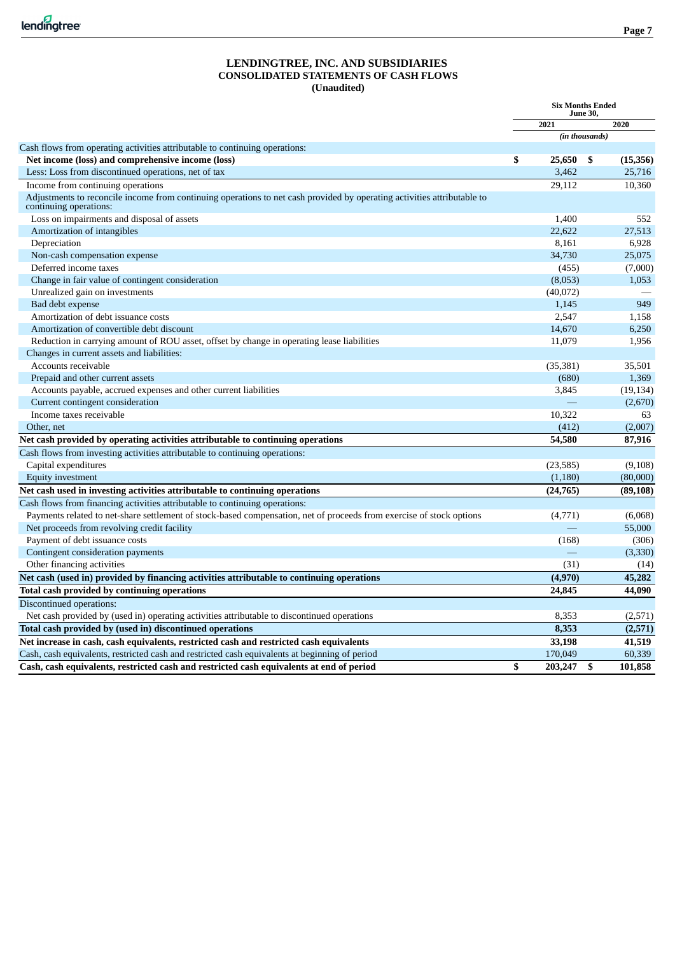#### **LENDINGTREE, INC. AND SUBSIDIARIES CONSOLIDATED STATEMENTS OF CASH FLOWS (Unaudited)**

|                                                                                                                                                   |    | <b>Six Months Ended</b> |    |           |
|---------------------------------------------------------------------------------------------------------------------------------------------------|----|-------------------------|----|-----------|
|                                                                                                                                                   |    | 2021                    |    | 2020      |
|                                                                                                                                                   |    | (in thousands)          |    |           |
| Cash flows from operating activities attributable to continuing operations:                                                                       |    |                         |    |           |
| Net income (loss) and comprehensive income (loss)                                                                                                 | \$ | 25,650                  | \$ | (15,356)  |
| Less: Loss from discontinued operations, net of tax                                                                                               |    | 3,462                   |    | 25,716    |
| Income from continuing operations                                                                                                                 |    | 29,112                  |    | 10,360    |
| Adjustments to reconcile income from continuing operations to net cash provided by operating activities attributable to<br>continuing operations: |    |                         |    |           |
| Loss on impairments and disposal of assets                                                                                                        |    | 1,400                   |    | 552       |
| Amortization of intangibles                                                                                                                       |    | 22,622                  |    | 27,513    |
| Depreciation                                                                                                                                      |    | 8,161                   |    | 6,928     |
| Non-cash compensation expense                                                                                                                     |    | 34,730                  |    | 25,075    |
| Deferred income taxes                                                                                                                             |    | (455)                   |    | (7,000)   |
| Change in fair value of contingent consideration                                                                                                  |    | (8,053)                 |    | 1,053     |
| Unrealized gain on investments                                                                                                                    |    | (40,072)                |    |           |
| Bad debt expense                                                                                                                                  |    | 1,145                   |    | 949       |
| Amortization of debt issuance costs                                                                                                               |    | 2,547                   |    | 1,158     |
| Amortization of convertible debt discount                                                                                                         |    | 14,670                  |    | 6,250     |
| Reduction in carrying amount of ROU asset, offset by change in operating lease liabilities                                                        |    | 11,079                  |    | 1,956     |
| Changes in current assets and liabilities:                                                                                                        |    |                         |    |           |
| Accounts receivable                                                                                                                               |    | (35, 381)               |    | 35,501    |
| Prepaid and other current assets                                                                                                                  |    | (680)                   |    | 1,369     |
| Accounts payable, accrued expenses and other current liabilities                                                                                  |    | 3,845                   |    | (19, 134) |
| Current contingent consideration                                                                                                                  |    |                         |    | (2,670)   |
| Income taxes receivable                                                                                                                           |    | 10,322                  |    | 63        |
| Other, net                                                                                                                                        |    | (412)                   |    | (2,007)   |
| Net cash provided by operating activities attributable to continuing operations                                                                   |    | 54,580                  |    | 87,916    |
| Cash flows from investing activities attributable to continuing operations:                                                                       |    |                         |    |           |
| Capital expenditures                                                                                                                              |    | (23, 585)               |    | (9, 108)  |
| <b>Equity investment</b>                                                                                                                          |    | (1,180)                 |    | (80,000)  |
| Net cash used in investing activities attributable to continuing operations                                                                       |    | (24, 765)               |    | (89, 108) |
| Cash flows from financing activities attributable to continuing operations:                                                                       |    |                         |    |           |
| Payments related to net-share settlement of stock-based compensation, net of proceeds from exercise of stock options                              |    | (4,771)                 |    | (6,068)   |
| Net proceeds from revolving credit facility                                                                                                       |    |                         |    | 55,000    |
| Payment of debt issuance costs                                                                                                                    |    | (168)                   |    | (306)     |
| Contingent consideration payments                                                                                                                 |    |                         |    | (3,330)   |
| Other financing activities                                                                                                                        |    | (31)                    |    | (14)      |
| Net cash (used in) provided by financing activities attributable to continuing operations                                                         |    | (4,970)                 |    | 45,282    |
| Total cash provided by continuing operations                                                                                                      |    | 24,845                  |    | 44,090    |
| Discontinued operations:                                                                                                                          |    |                         |    |           |
| Net cash provided by (used in) operating activities attributable to discontinued operations                                                       |    | 8,353                   |    | (2,571)   |
| Total cash provided by (used in) discontinued operations                                                                                          |    | 8,353                   |    | (2,571)   |
| Net increase in cash, cash equivalents, restricted cash and restricted cash equivalents                                                           |    | 33,198                  |    | 41,519    |
| Cash, cash equivalents, restricted cash and restricted cash equivalents at beginning of period                                                    |    | 170,049                 |    | 60,339    |
| Cash, cash equivalents, restricted cash and restricted cash equivalents at end of period                                                          | \$ | 203,247                 | \$ | 101,858   |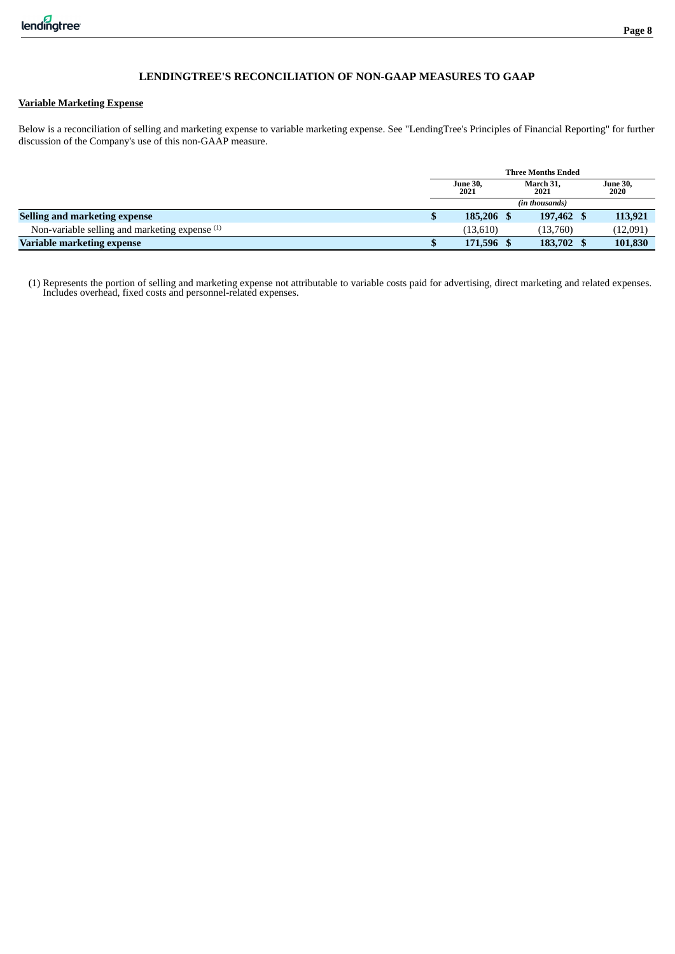### **Variable Marketing Expense**

Below is a reconciliation of selling and marketing expense to variable marketing expense. See "LendingTree's Principles of Financial Reporting" for further discussion of the Company's use of this non-GAAP measure.

|                                                           | <b>Three Months Ended</b> |                   |  |                         |  |  |  |  |
|-----------------------------------------------------------|---------------------------|-------------------|--|-------------------------|--|--|--|--|
|                                                           | <b>June 30,</b><br>2021   | March 31.<br>2021 |  | <b>June 30,</b><br>2020 |  |  |  |  |
|                                                           |                           | (in thousands)    |  |                         |  |  |  |  |
| Selling and marketing expense                             | 185,206 \$                | 197,462           |  | 113,921                 |  |  |  |  |
| Non-variable selling and marketing expense <sup>(1)</sup> | (13,610)                  | (13,760)          |  | (12,091)                |  |  |  |  |
| Variable marketing expense                                | 171,596 \$                | 183,702           |  | 101,830                 |  |  |  |  |

(1) Represents the portion of selling and marketing expense not attributable to variable costs paid for advertising, direct marketing and related expenses. Includes overhead, fixed costs and personnel-related expenses.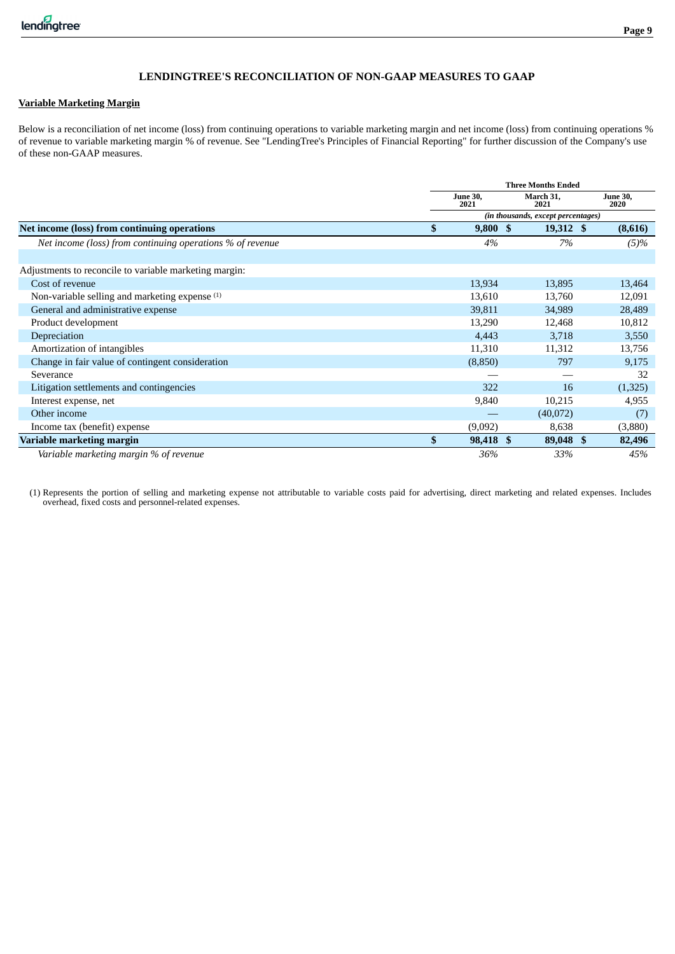### **Page 9**

### **LENDINGTREE'S RECONCILIATION OF NON-GAAP MEASURES TO GAAP**

#### **Variable Marketing Margin**

Below is a reconciliation of net income (loss) from continuing operations to variable marketing margin and net income (loss) from continuing operations % of revenue to variable marketing margin % of revenue. See "LendingTree's Principles of Financial Reporting" for further discussion of the Company's use of these non-GAAP measures.

|                                                           |    |                         | <b>Three Months Ended</b>          |                         |
|-----------------------------------------------------------|----|-------------------------|------------------------------------|-------------------------|
|                                                           |    | <b>June 30,</b><br>2021 | March 31,<br>2021                  | <b>June 30,</b><br>2020 |
|                                                           |    |                         | (in thousands, except percentages) |                         |
| Net income (loss) from continuing operations              | S  | 9,800 S                 | 19,312 \$                          | (8,616)                 |
| Net income (loss) from continuing operations % of revenue |    | 4%                      | 7%                                 | $(5)\%$                 |
|                                                           |    |                         |                                    |                         |
| Adjustments to reconcile to variable marketing margin:    |    |                         |                                    |                         |
| Cost of revenue                                           |    | 13,934                  | 13,895                             | 13,464                  |
| Non-variable selling and marketing expense (1)            |    | 13,610                  | 13,760                             | 12,091                  |
| General and administrative expense                        |    | 39,811                  | 34,989                             | 28,489                  |
| Product development                                       |    | 13,290                  | 12,468                             | 10,812                  |
| Depreciation                                              |    | 4,443                   | 3,718                              | 3,550                   |
| Amortization of intangibles                               |    | 11,310                  | 11,312                             | 13,756                  |
| Change in fair value of contingent consideration          |    | (8,850)                 | 797                                | 9,175                   |
| Severance                                                 |    |                         |                                    | 32                      |
| Litigation settlements and contingencies                  |    | 322                     | 16                                 | (1,325)                 |
| Interest expense, net                                     |    | 9,840                   | 10,215                             | 4,955                   |
| Other income                                              |    |                         | (40,072)                           | (7)                     |
| Income tax (benefit) expense                              |    | (9,092)                 | 8,638                              | (3,880)                 |
| Variable marketing margin                                 | \$ | 98,418 \$               | 89,048 \$                          | 82,496                  |
| Variable marketing margin % of revenue                    |    | 36%                     | 33%                                | 45%                     |

(1) Represents the portion of selling and marketing expense not attributable to variable costs paid for advertising, direct marketing and related expenses. Includes overhead, fixed costs and personnel-related expenses.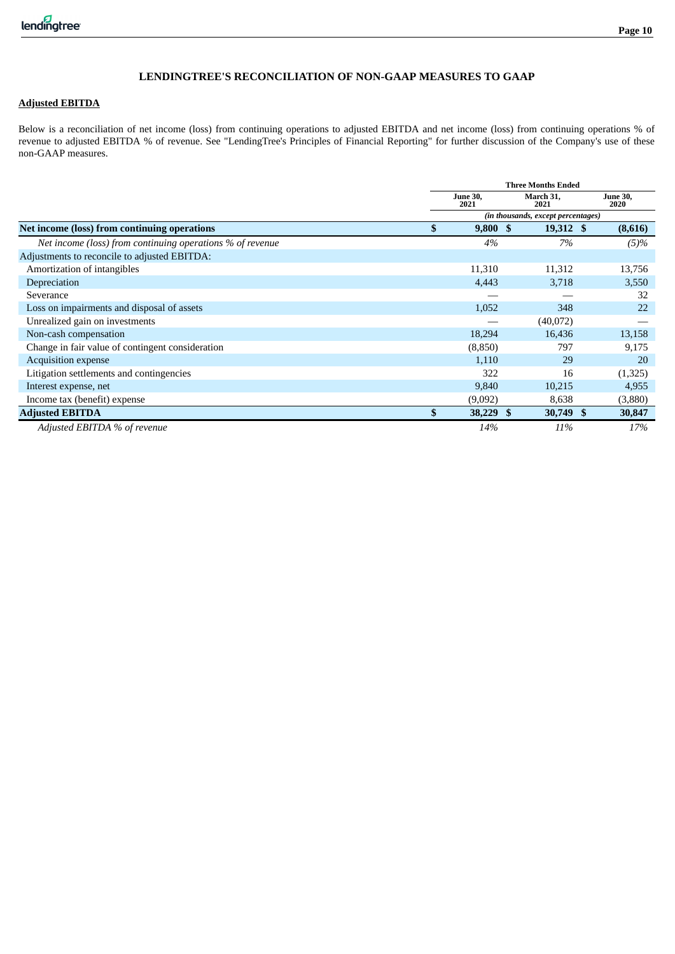### **Page 10**

#### **LENDINGTREE'S RECONCILIATION OF NON-GAAP MEASURES TO GAAP**

### **Adjusted EBITDA**

Below is a reconciliation of net income (loss) from continuing operations to adjusted EBITDA and net income (loss) from continuing operations % of revenue to adjusted EBITDA % of revenue. See "LendingTree's Principles of Financial Reporting" for further discussion of the Company's use of these non-GAAP measures.

|                                                           |    |                                    |  | <b>Three Months Ended</b> |  |                         |  |  |
|-----------------------------------------------------------|----|------------------------------------|--|---------------------------|--|-------------------------|--|--|
|                                                           |    | <b>June 30,</b><br>2021            |  | March 31,<br>2021         |  | <b>June 30,</b><br>2020 |  |  |
|                                                           |    | (in thousands, except percentages) |  |                           |  |                         |  |  |
| Net income (loss) from continuing operations              | -S | 9,800S                             |  | $19,312 \text{ }$ \$      |  | (8,616)                 |  |  |
| Net income (loss) from continuing operations % of revenue |    | 4%                                 |  | 7%                        |  | $(5)\%$                 |  |  |
| Adjustments to reconcile to adjusted EBITDA:              |    |                                    |  |                           |  |                         |  |  |
| Amortization of intangibles                               |    | 11,310                             |  | 11,312                    |  | 13,756                  |  |  |
| Depreciation                                              |    | 4,443                              |  | 3,718                     |  | 3,550                   |  |  |
| Severance                                                 |    |                                    |  |                           |  | 32                      |  |  |
| Loss on impairments and disposal of assets                |    | 1,052                              |  | 348                       |  | 22                      |  |  |
| Unrealized gain on investments                            |    |                                    |  | (40,072)                  |  |                         |  |  |
| Non-cash compensation                                     |    | 18,294                             |  | 16,436                    |  | 13,158                  |  |  |
| Change in fair value of contingent consideration          |    | (8,850)                            |  | 797                       |  | 9,175                   |  |  |
| <b>Acquisition expense</b>                                |    | 1,110                              |  | 29                        |  | 20                      |  |  |
| Litigation settlements and contingencies                  |    | 322                                |  | 16                        |  | (1,325)                 |  |  |
| Interest expense, net                                     |    | 9,840                              |  | 10,215                    |  | 4,955                   |  |  |
| Income tax (benefit) expense                              |    | (9,092)                            |  | 8,638                     |  | (3,880)                 |  |  |
| <b>Adjusted EBITDA</b>                                    | \$ | 38,229 \$                          |  | 30,749 \$                 |  | 30,847                  |  |  |
| Adjusted EBITDA % of revenue                              |    | 14%                                |  | 11%                       |  | 17%                     |  |  |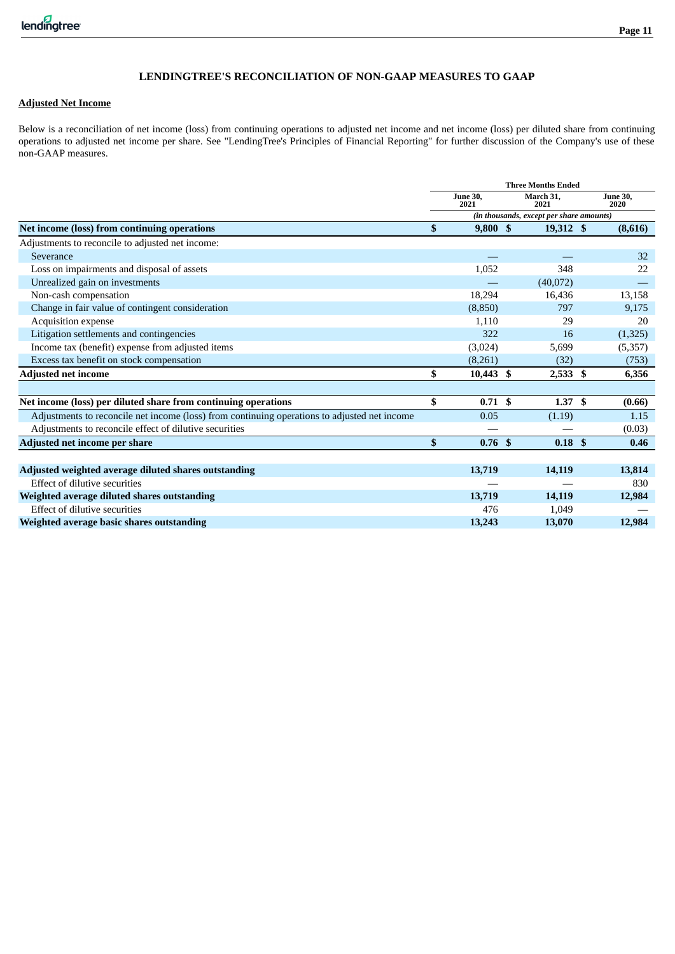### **Page 11**

### **LENDINGTREE'S RECONCILIATION OF NON-GAAP MEASURES TO GAAP**

#### **Adjusted Net Income**

Below is a reconciliation of net income (loss) from continuing operations to adjusted net income and net income (loss) per diluted share from continuing operations to adjusted net income per share. See "LendingTree's Principles of Financial Reporting" for further discussion of the Company's use of these non-GAAP measures.

|                                                                                              | <b>Three Months Ended</b> |                         |  |                                          |  |                         |  |
|----------------------------------------------------------------------------------------------|---------------------------|-------------------------|--|------------------------------------------|--|-------------------------|--|
|                                                                                              |                           | <b>June 30.</b><br>2021 |  | March 31,<br>2021                        |  | <b>June 30,</b><br>2020 |  |
|                                                                                              |                           |                         |  | (in thousands, except per share amounts) |  |                         |  |
| Net income (loss) from continuing operations                                                 | <sup>\$</sup>             | 9,800S                  |  | 19,312 \$                                |  | (8,616)                 |  |
| Adjustments to reconcile to adjusted net income:                                             |                           |                         |  |                                          |  |                         |  |
| Severance                                                                                    |                           |                         |  |                                          |  | 32                      |  |
| Loss on impairments and disposal of assets                                                   |                           | 1,052                   |  | 348                                      |  | 22                      |  |
| Unrealized gain on investments                                                               |                           |                         |  | (40,072)                                 |  |                         |  |
| Non-cash compensation                                                                        |                           | 18,294                  |  | 16,436                                   |  | 13,158                  |  |
| Change in fair value of contingent consideration                                             |                           | (8, 850)                |  | 797                                      |  | 9,175                   |  |
| Acquisition expense                                                                          |                           | 1,110                   |  | 29                                       |  | 20                      |  |
| Litigation settlements and contingencies                                                     |                           | 322                     |  | 16                                       |  | (1,325)                 |  |
| Income tax (benefit) expense from adjusted items                                             |                           | (3,024)                 |  | 5,699                                    |  | (5,357)                 |  |
| Excess tax benefit on stock compensation                                                     |                           | (8,261)                 |  | (32)                                     |  | (753)                   |  |
| <b>Adjusted net income</b>                                                                   | \$                        | $10,443$ \$             |  | $2,533$ \$                               |  | 6,356                   |  |
|                                                                                              |                           |                         |  |                                          |  |                         |  |
| Net income (loss) per diluted share from continuing operations                               | \$                        | 0.71S                   |  | 1.37S                                    |  | (0.66)                  |  |
| Adjustments to reconcile net income (loss) from continuing operations to adjusted net income |                           | 0.05                    |  | (1.19)                                   |  | 1.15                    |  |
| Adjustments to reconcile effect of dilutive securities                                       |                           |                         |  |                                          |  | (0.03)                  |  |
| Adjusted net income per share                                                                | $\mathbf{s}$              | 0.76 <sup>5</sup>       |  | 0.18 <sup>5</sup>                        |  | 0.46                    |  |
|                                                                                              |                           |                         |  |                                          |  |                         |  |
| Adjusted weighted average diluted shares outstanding                                         |                           | 13,719                  |  | 14,119                                   |  | 13,814                  |  |
| Effect of dilutive securities                                                                |                           |                         |  |                                          |  | 830                     |  |
| Weighted average diluted shares outstanding                                                  |                           | 13,719                  |  | 14,119                                   |  | 12,984                  |  |
| Effect of dilutive securities                                                                |                           | 476                     |  | 1,049                                    |  |                         |  |
| Weighted average basic shares outstanding                                                    |                           | 13,243                  |  | 13,070                                   |  | 12,984                  |  |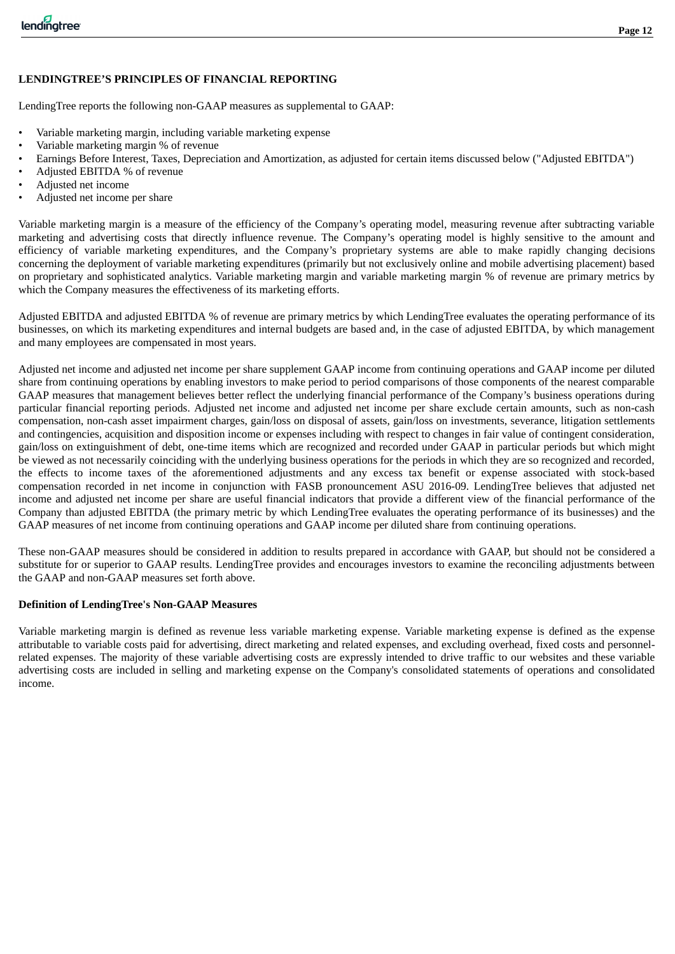### **LENDINGTREE'S PRINCIPLES OF FINANCIAL REPORTING**

LendingTree reports the following non-GAAP measures as supplemental to GAAP:

- Variable marketing margin, including variable marketing expense
- Variable marketing margin % of revenue
- Earnings Before Interest, Taxes, Depreciation and Amortization, as adjusted for certain items discussed below ("Adjusted EBITDA")
- Adjusted EBITDA % of revenue
- Adjusted net income
- Adjusted net income per share

Variable marketing margin is a measure of the efficiency of the Company's operating model, measuring revenue after subtracting variable marketing and advertising costs that directly influence revenue. The Company's operating model is highly sensitive to the amount and efficiency of variable marketing expenditures, and the Company's proprietary systems are able to make rapidly changing decisions concerning the deployment of variable marketing expenditures (primarily but not exclusively online and mobile advertising placement) based on proprietary and sophisticated analytics. Variable marketing margin and variable marketing margin % of revenue are primary metrics by which the Company measures the effectiveness of its marketing efforts.

Adjusted EBITDA and adjusted EBITDA % of revenue are primary metrics by which LendingTree evaluates the operating performance of its businesses, on which its marketing expenditures and internal budgets are based and, in the case of adjusted EBITDA, by which management and many employees are compensated in most years.

Adjusted net income and adjusted net income per share supplement GAAP income from continuing operations and GAAP income per diluted share from continuing operations by enabling investors to make period to period comparisons of those components of the nearest comparable GAAP measures that management believes better reflect the underlying financial performance of the Company's business operations during particular financial reporting periods. Adjusted net income and adjusted net income per share exclude certain amounts, such as non-cash compensation, non-cash asset impairment charges, gain/loss on disposal of assets, gain/loss on investments, severance, litigation settlements and contingencies, acquisition and disposition income or expenses including with respect to changes in fair value of contingent consideration, gain/loss on extinguishment of debt, one-time items which are recognized and recorded under GAAP in particular periods but which might be viewed as not necessarily coinciding with the underlying business operations for the periods in which they are so recognized and recorded, the effects to income taxes of the aforementioned adjustments and any excess tax benefit or expense associated with stock-based compensation recorded in net income in conjunction with FASB pronouncement ASU 2016-09. LendingTree believes that adjusted net income and adjusted net income per share are useful financial indicators that provide a different view of the financial performance of the Company than adjusted EBITDA (the primary metric by which LendingTree evaluates the operating performance of its businesses) and the GAAP measures of net income from continuing operations and GAAP income per diluted share from continuing operations.

These non-GAAP measures should be considered in addition to results prepared in accordance with GAAP, but should not be considered a substitute for or superior to GAAP results. LendingTree provides and encourages investors to examine the reconciling adjustments between the GAAP and non-GAAP measures set forth above.

### **Definition of LendingTree's Non-GAAP Measures**

Variable marketing margin is defined as revenue less variable marketing expense. Variable marketing expense is defined as the expense attributable to variable costs paid for advertising, direct marketing and related expenses, and excluding overhead, fixed costs and personnelrelated expenses. The majority of these variable advertising costs are expressly intended to drive traffic to our websites and these variable advertising costs are included in selling and marketing expense on the Company's consolidated statements of operations and consolidated income.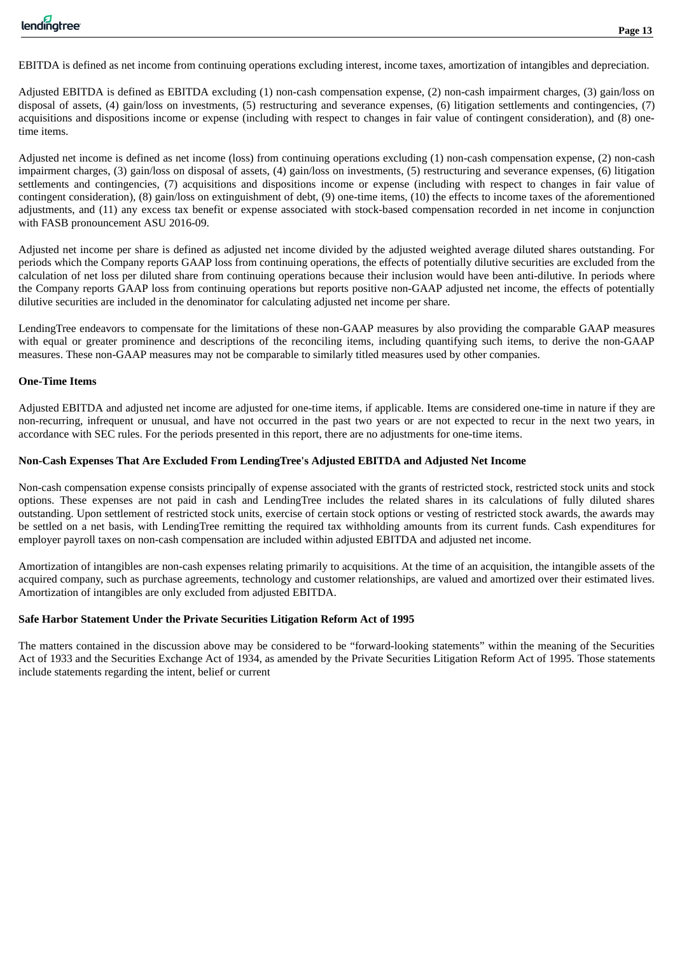EBITDA is defined as net income from continuing operations excluding interest, income taxes, amortization of intangibles and depreciation.

Adjusted EBITDA is defined as EBITDA excluding (1) non-cash compensation expense, (2) non-cash impairment charges, (3) gain/loss on disposal of assets, (4) gain/loss on investments, (5) restructuring and severance expenses, (6) litigation settlements and contingencies, (7) acquisitions and dispositions income or expense (including with respect to changes in fair value of contingent consideration), and (8) onetime items.

Adjusted net income is defined as net income (loss) from continuing operations excluding (1) non-cash compensation expense, (2) non-cash impairment charges, (3) gain/loss on disposal of assets, (4) gain/loss on investments, (5) restructuring and severance expenses, (6) litigation settlements and contingencies, (7) acquisitions and dispositions income or expense (including with respect to changes in fair value of contingent consideration), (8) gain/loss on extinguishment of debt, (9) one-time items, (10) the effects to income taxes of the aforementioned adjustments, and (11) any excess tax benefit or expense associated with stock-based compensation recorded in net income in conjunction with FASB pronouncement ASU 2016-09.

Adjusted net income per share is defined as adjusted net income divided by the adjusted weighted average diluted shares outstanding. For periods which the Company reports GAAP loss from continuing operations, the effects of potentially dilutive securities are excluded from the calculation of net loss per diluted share from continuing operations because their inclusion would have been anti-dilutive. In periods where the Company reports GAAP loss from continuing operations but reports positive non-GAAP adjusted net income, the effects of potentially dilutive securities are included in the denominator for calculating adjusted net income per share.

LendingTree endeavors to compensate for the limitations of these non-GAAP measures by also providing the comparable GAAP measures with equal or greater prominence and descriptions of the reconciling items, including quantifying such items, to derive the non-GAAP measures. These non-GAAP measures may not be comparable to similarly titled measures used by other companies.

### **One-Time Items**

Adjusted EBITDA and adjusted net income are adjusted for one-time items, if applicable. Items are considered one-time in nature if they are non-recurring, infrequent or unusual, and have not occurred in the past two years or are not expected to recur in the next two years, in accordance with SEC rules. For the periods presented in this report, there are no adjustments for one-time items.

#### **Non-Cash Expenses That Are Excluded From LendingTree's Adjusted EBITDA and Adjusted Net Income**

Non-cash compensation expense consists principally of expense associated with the grants of restricted stock, restricted stock units and stock options. These expenses are not paid in cash and LendingTree includes the related shares in its calculations of fully diluted shares outstanding. Upon settlement of restricted stock units, exercise of certain stock options or vesting of restricted stock awards, the awards may be settled on a net basis, with LendingTree remitting the required tax withholding amounts from its current funds. Cash expenditures for employer payroll taxes on non-cash compensation are included within adjusted EBITDA and adjusted net income.

Amortization of intangibles are non-cash expenses relating primarily to acquisitions. At the time of an acquisition, the intangible assets of the acquired company, such as purchase agreements, technology and customer relationships, are valued and amortized over their estimated lives. Amortization of intangibles are only excluded from adjusted EBITDA.

### **Safe Harbor Statement Under the Private Securities Litigation Reform Act of 1995**

The matters contained in the discussion above may be considered to be "forward-looking statements" within the meaning of the Securities Act of 1933 and the Securities Exchange Act of 1934, as amended by the Private Securities Litigation Reform Act of 1995. Those statements include statements regarding the intent, belief or current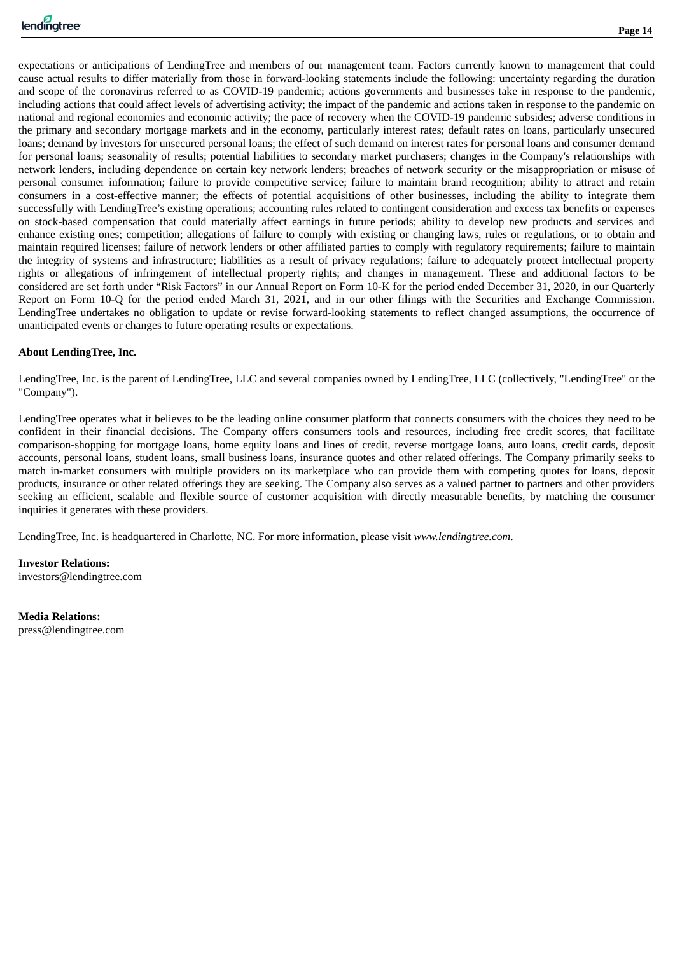expectations or anticipations of LendingTree and members of our management team. Factors currently known to management that could cause actual results to differ materially from those in forward-looking statements include the following: uncertainty regarding the duration and scope of the coronavirus referred to as COVID-19 pandemic; actions governments and businesses take in response to the pandemic, including actions that could affect levels of advertising activity; the impact of the pandemic and actions taken in response to the pandemic on national and regional economies and economic activity; the pace of recovery when the COVID-19 pandemic subsides; adverse conditions in the primary and secondary mortgage markets and in the economy, particularly interest rates; default rates on loans, particularly unsecured loans; demand by investors for unsecured personal loans; the effect of such demand on interest rates for personal loans and consumer demand for personal loans; seasonality of results; potential liabilities to secondary market purchasers; changes in the Company's relationships with network lenders, including dependence on certain key network lenders; breaches of network security or the misappropriation or misuse of personal consumer information; failure to provide competitive service; failure to maintain brand recognition; ability to attract and retain consumers in a cost-effective manner; the effects of potential acquisitions of other businesses, including the ability to integrate them successfully with LendingTree's existing operations; accounting rules related to contingent consideration and excess tax benefits or expenses on stock-based compensation that could materially affect earnings in future periods; ability to develop new products and services and enhance existing ones; competition; allegations of failure to comply with existing or changing laws, rules or regulations, or to obtain and maintain required licenses; failure of network lenders or other affiliated parties to comply with regulatory requirements; failure to maintain the integrity of systems and infrastructure; liabilities as a result of privacy regulations; failure to adequately protect intellectual property rights or allegations of infringement of intellectual property rights; and changes in management. These and additional factors to be considered are set forth under "Risk Factors" in our Annual Report on Form 10-K for the period ended December 31, 2020, in our Quarterly Report on Form 10-Q for the period ended March 31, 2021, and in our other filings with the Securities and Exchange Commission. LendingTree undertakes no obligation to update or revise forward-looking statements to reflect changed assumptions, the occurrence of unanticipated events or changes to future operating results or expectations.

### **About LendingTree, Inc.**

LendingTree, Inc. is the parent of LendingTree, LLC and several companies owned by LendingTree, LLC (collectively, "LendingTree" or the "Company").

LendingTree operates what it believes to be the leading online consumer platform that connects consumers with the choices they need to be confident in their financial decisions. The Company offers consumers tools and resources, including free credit scores, that facilitate comparison-shopping for mortgage loans, home equity loans and lines of credit, reverse mortgage loans, auto loans, credit cards, deposit accounts, personal loans, student loans, small business loans, insurance quotes and other related offerings. The Company primarily seeks to match in-market consumers with multiple providers on its marketplace who can provide them with competing quotes for loans, deposit products, insurance or other related offerings they are seeking. The Company also serves as a valued partner to partners and other providers seeking an efficient, scalable and flexible source of customer acquisition with directly measurable benefits, by matching the consumer inquiries it generates with these providers.

LendingTree, Inc. is headquartered in Charlotte, NC. For more information, please visit *www.lendingtree.com*.

**Investor Relations:** investors@lendingtree.com

**Media Relations:** press@lendingtree.com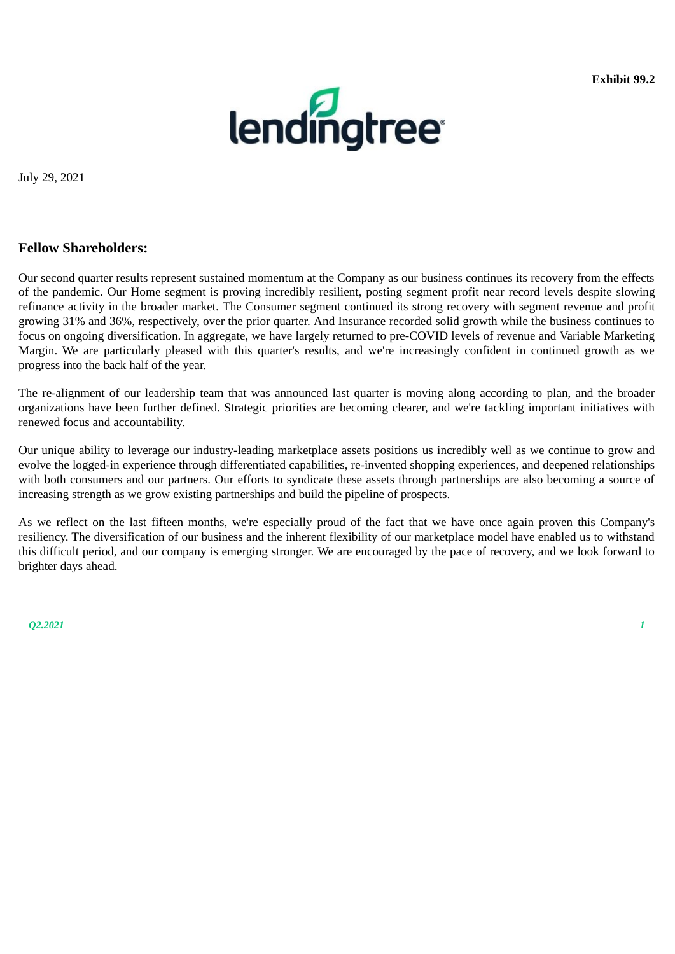

<span id="page-17-0"></span>July 29, 2021

### **Fellow Shareholders:**

Our second quarter results represent sustained momentum at the Company as our business continues its recovery from the effects of the pandemic. Our Home segment is proving incredibly resilient, posting segment profit near record levels despite slowing refinance activity in the broader market. The Consumer segment continued its strong recovery with segment revenue and profit growing 31% and 36%, respectively, over the prior quarter. And Insurance recorded solid growth while the business continues to focus on ongoing diversification. In aggregate, we have largely returned to pre-COVID levels of revenue and Variable Marketing Margin. We are particularly pleased with this quarter's results, and we're increasingly confident in continued growth as we progress into the back half of the year.

The re-alignment of our leadership team that was announced last quarter is moving along according to plan, and the broader organizations have been further defined. Strategic priorities are becoming clearer, and we're tackling important initiatives with renewed focus and accountability.

Our unique ability to leverage our industry-leading marketplace assets positions us incredibly well as we continue to grow and evolve the logged-in experience through differentiated capabilities, re-invented shopping experiences, and deepened relationships with both consumers and our partners. Our efforts to syndicate these assets through partnerships are also becoming a source of increasing strength as we grow existing partnerships and build the pipeline of prospects.

As we reflect on the last fifteen months, we're especially proud of the fact that we have once again proven this Company's resiliency. The diversification of our business and the inherent flexibility of our marketplace model have enabled us to withstand this difficult period, and our company is emerging stronger. We are encouraged by the pace of recovery, and we look forward to brighter days ahead.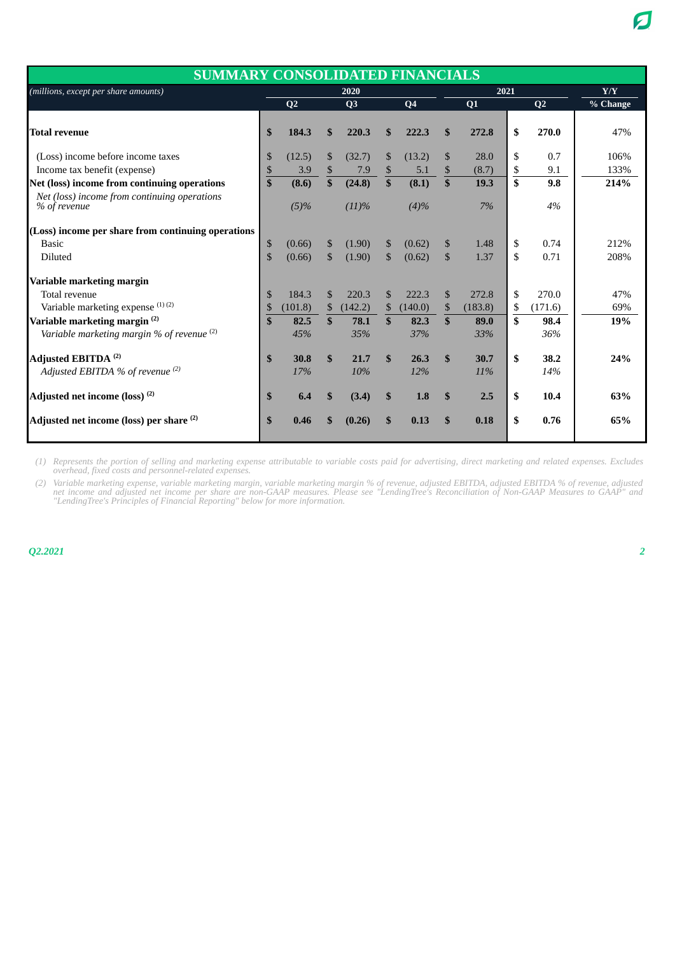| <b>SUMMARY CONSOLIDATED FINANCIALS</b>                       |              |                |                |                |               |                |               |         |     |                |          |
|--------------------------------------------------------------|--------------|----------------|----------------|----------------|---------------|----------------|---------------|---------|-----|----------------|----------|
| (millions, except per share amounts)                         |              |                |                | 2020           |               |                |               | 2021    | Y/Y |                |          |
|                                                              |              | Q <sub>2</sub> |                | O <sub>3</sub> |               | Q <sub>4</sub> |               | Q1      |     | Q <sub>2</sub> | % Change |
| <b>Total revenue</b>                                         | \$           | 184.3          | $\mathbf{s}$   | 220.3          | \$            | 222.3          | \$            | 272.8   | \$  | 270.0          | 47%      |
| (Loss) income before income taxes                            | \$           | (12.5)         | $\mathbb{S}$   | (32.7)         | \$            | (13.2)         | \$            | 28.0    | \$  | 0.7            | 106%     |
| Income tax benefit (expense)                                 | \$           | 3.9            | \$             | 7.9            | \$            | 5.1            | \$            | (8.7)   | \$  | 9.1            | 133%     |
| Net (loss) income from continuing operations                 | \$           | (8.6)          | \$             | (24.8)         | \$            | (8.1)          | \$            | 19.3    | \$  | 9.8            | 214%     |
| Net (loss) income from continuing operations<br>% of revenue |              | $(5)\%$        |                | (11)%          |               | (4)%           |               | 7%      |     | 4%             |          |
| (Loss) income per share from continuing operations           |              |                |                |                |               |                |               |         |     |                |          |
| <b>Basic</b>                                                 | \$           | (0.66)         | $\mathbb{S}$   | (1.90)         | \$            | (0.62)         | \$            | 1.48    | \$  | 0.74           | 212%     |
| <b>Diluted</b>                                               | \$           | (0.66)         | $\mathcal{S}$  | (1.90)         | $\mathcal{S}$ | (0.62)         | \$            | 1.37    | \$  | 0.71           | 208%     |
| Variable marketing margin                                    |              |                |                |                |               |                |               |         |     |                |          |
| Total revenue                                                | \$           | 184.3          | $\mathfrak{F}$ | 220.3          | $\mathcal{S}$ | 222.3          | \$            | 272.8   | \$  | 270.0          | 47%      |
| Variable marketing expense (1)(2)                            | \$           | (101.8)        | $\mathbb{S}$   | (142.2)        | \$            | (140.0)        | $\mathbb{S}$  | (183.8) | S   | (171.6)        | 69%      |
| Variable marketing margin <sup>(2)</sup>                     | $\mathbf{s}$ | 82.5           | $\mathbf{s}$   | 78.1           | $\mathbf{s}$  | 82.3           | $\mathbf{\$}$ | 89.0    | \$  | 98.4           | 19%      |
| Variable marketing margin % of revenue $(2)$                 |              | 45%            |                | 35%            |               | 37%            |               | 33%     |     | 36%            |          |
| Adjusted EBITDA <sup>(2)</sup>                               | $\mathbf{s}$ | 30.8           | $\mathbf{s}$   | 21.7           | $\mathbf{s}$  | 26.3           | $\mathbf{s}$  | 30.7    | \$  | 38.2           | 24%      |
| Adjusted EBITDA % of revenue (2)                             |              | 17%            |                | 10%            |               | 12%            |               | 11%     |     | 14%            |          |
| Adjusted net income (loss) <sup>(2)</sup>                    | \$           | 6.4            | <sup>\$</sup>  | (3.4)          | $\mathbf{s}$  | 1.8            | $\mathbf{s}$  | 2.5     | \$  | 10.4           | 63%      |
| Adjusted net income (loss) per share <sup>(2)</sup>          | \$           | 0.46           |                | (0.26)         | \$            | 0.13           | \$            | 0.18    | \$  | 0.76           | 65%      |

*(1) Represents the portion of selling and marketing expense attributable to variable costs paid for advertising, direct marketing and related expenses. Excludes overhead, fixed costs and personnel-related expenses.*

*(2) Variable marketing expense, variable marketing margin, variable marketing margin % of revenue, adjusted EBITDA, adjusted EBITDA % of revenue, adjusted net income and adjusted net income per share are non-GAAP measures. Please see "LendingTree's Reconciliation of Non-GAAP Measures to GAAP" and "LendingTree's Principles of Financial Reporting" below for more information.*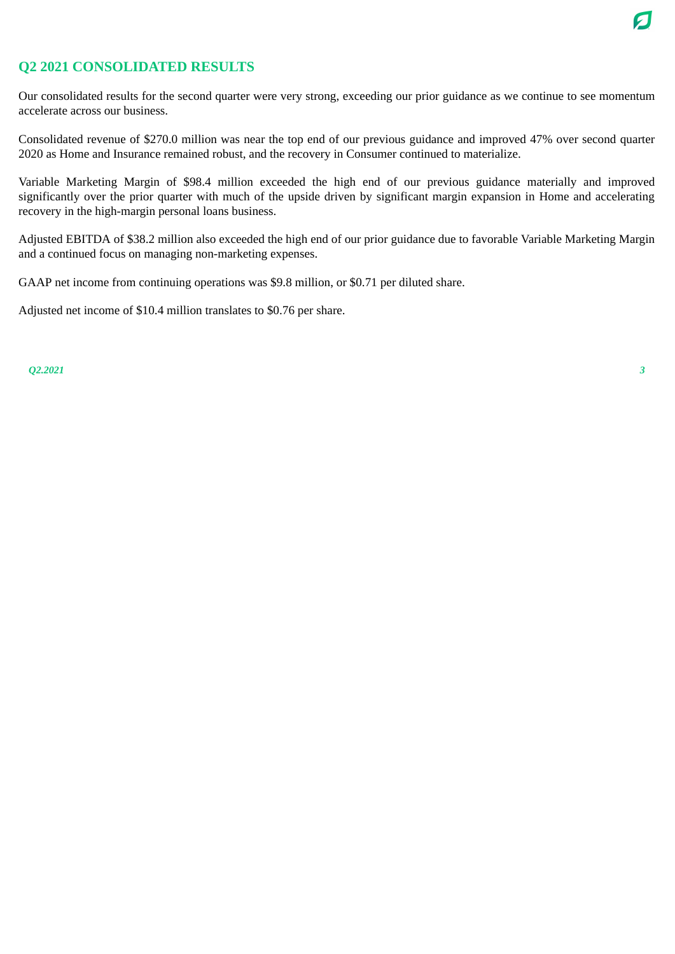

### **Q2 2021 CONSOLIDATED RESULTS**

Our consolidated results for the second quarter were very strong, exceeding our prior guidance as we continue to see momentum accelerate across our business.

Consolidated revenue of \$270.0 million was near the top end of our previous guidance and improved 47% over second quarter 2020 as Home and Insurance remained robust, and the recovery in Consumer continued to materialize.

Variable Marketing Margin of \$98.4 million exceeded the high end of our previous guidance materially and improved significantly over the prior quarter with much of the upside driven by significant margin expansion in Home and accelerating recovery in the high-margin personal loans business.

Adjusted EBITDA of \$38.2 million also exceeded the high end of our prior guidance due to favorable Variable Marketing Margin and a continued focus on managing non-marketing expenses.

GAAP net income from continuing operations was \$9.8 million, or \$0.71 per diluted share.

Adjusted net income of \$10.4 million translates to \$0.76 per share.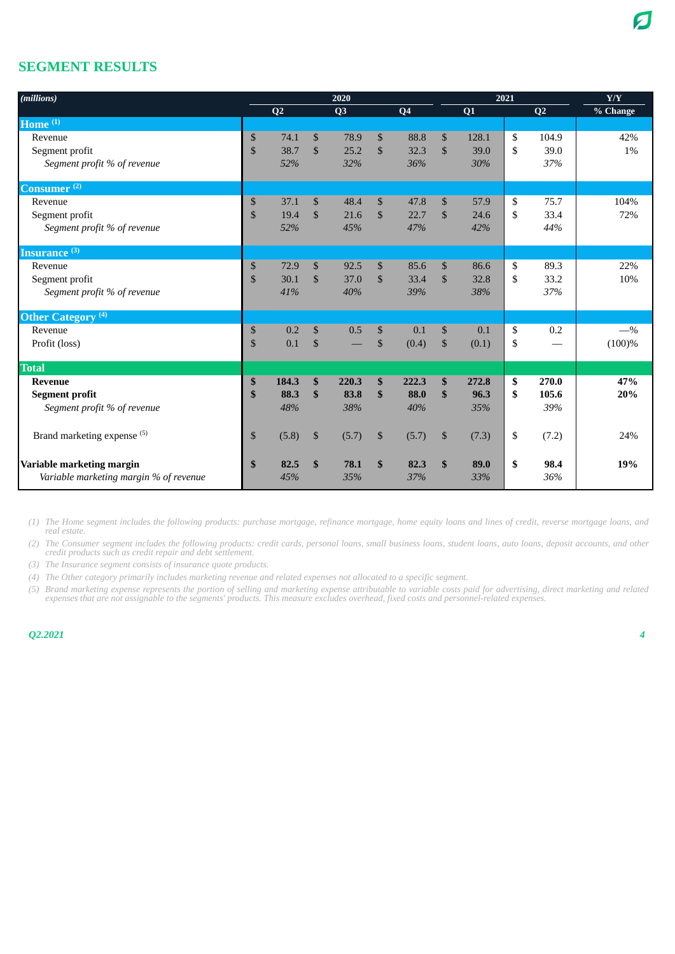### **SEGMENT RESULTS**

| (millions)                             | 2020         |                |               |                |               |                | 2021          | Y/Y   |             |          |
|----------------------------------------|--------------|----------------|---------------|----------------|---------------|----------------|---------------|-------|-------------|----------|
|                                        |              | Q <sub>2</sub> |               | Q <sub>3</sub> |               | Q <sub>4</sub> |               | Q1    | Q2          | % Change |
| Home $(1)$                             |              |                |               |                |               |                |               |       |             |          |
| Revenue                                | $\mathbb{S}$ | 74.1           | $\mathbb{S}$  | 78.9           | $\mathbb{S}$  | 88.8           | $\mathbb{S}$  | 128.1 | \$<br>104.9 | 42%      |
| Segment profit                         | \$           | 38.7           | $\mathcal{S}$ | 25.2           | $\mathcal{S}$ | 32.3           | $\mathcal{S}$ | 39.0  | \$<br>39.0  | 1%       |
| Segment profit % of revenue            |              | 52%            |               | 32%            |               | 36%            |               | 30%   | 37%         |          |
| $\overline{\mathbf{Consumer}}^{(2)}$   |              |                |               |                |               |                |               |       |             |          |
| Revenue                                | $\mathbb{S}$ | 37.1           | \$            | 48.4           | $\mathbf{\$}$ | 47.8           | $\mathbb{S}$  | 57.9  | \$<br>75.7  | 104%     |
| Segment profit                         | \$           | 19.4           | \$            | 21.6           | $\mathcal{S}$ | 22.7           | $\mathbb{S}$  | 24.6  | \$<br>33.4  | 72%      |
| Segment profit % of revenue            |              | 52%            |               | 45%            |               | 47%            |               | 42%   | 44%         |          |
| <b>Insurance</b> <sup>(3)</sup>        |              |                |               |                |               |                |               |       |             |          |
| Revenue                                | \$           | 72.9           | \$            | 92.5           | $\mathbb{S}$  | 85.6           | $\mathbb{S}$  | 86.6  | \$<br>89.3  | 22%      |
| Segment profit                         | \$           | 30.1           | \$            | 37.0           | \$            | 33.4           | $\mathbb{S}$  | 32.8  | \$<br>33.2  | 10%      |
| Segment profit % of revenue            |              | 41%            |               | 40%            |               | 39%            |               | 38%   | 37%         |          |
| Other Category <sup>(4)</sup>          |              |                |               |                |               |                |               |       |             |          |
| Revenue                                | \$           | 0.2            | $\mathbb{S}$  | 0.5            | $\mathbb{S}$  | 0.1            | $\mathbb{S}$  | 0.1   | \$<br>0.2   | $-$ %    |
| Profit (loss)                          | $\mathbb{S}$ | 0.1            | $\mathbb{S}$  |                | \$            | (0.4)          | \$            | (0.1) | \$          | (100)%   |
| <b>Total</b>                           |              |                |               |                |               |                |               |       |             |          |
| <b>Revenue</b>                         | \$           | 184.3          | $\mathbf{s}$  | 220.3          | \$            | 222.3          | $\mathbf{s}$  | 272.8 | \$<br>270.0 | 47%      |
| <b>Segment profit</b>                  | \$           | 88.3           | $\mathbf{s}$  | 83.8           | $\mathbf{s}$  | 88.0           | $\mathbf{\$}$ | 96.3  | \$<br>105.6 | 20%      |
| Segment profit % of revenue            |              | 48%            |               | 38%            |               | 40%            |               | 35%   | 39%         |          |
| Brand marketing expense <sup>(5)</sup> | $\mathbb{S}$ | (5.8)          | $\mathbb{S}$  | (5.7)          | \$            | (5.7)          | \$            | (7.3) | \$<br>(7.2) | 24%      |
|                                        |              |                |               |                |               |                |               |       |             |          |
| Variable marketing margin              | \$           | 82.5           | $\mathbf{s}$  | 78.1           | \$            | 82.3           | \$            | 89.0  | \$<br>98.4  | 19%      |
| Variable marketing margin % of revenue |              | 45%            |               | 35%            |               | 37%            |               | 33%   | 36%         |          |

*(1) The Home segment includes the following products: purchase mortgage, refinance mortgage, home equity loans and lines of credit, reverse mortgage loans, and real estate.*

*(2) The Consumer segment includes the following products: credit cards, personal loans, small business loans, student loans, auto loans, deposit accounts, and other credit products such as credit repair and debt settlement.*

*(3) The Insurance segment consists of insurance quote products.*

*(4) The Other category primarily includes marketing revenue and related expenses not allocated to a specific segment.*

*(5) Brand marketing expense represents the portion of selling and marketing expense attributable to variable costs paid for advertising, direct marketing and related expenses that are not assignable to the segments' products. This measure excludes overhead, fixed costs and personnel-related expenses.*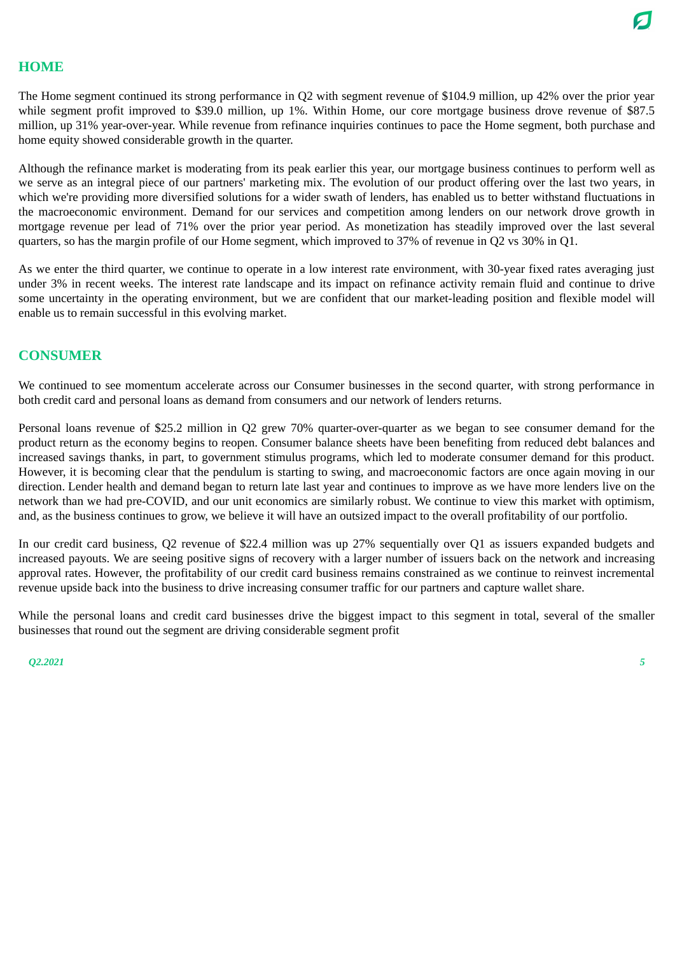### **HOME**

The Home segment continued its strong performance in Q2 with segment revenue of \$104.9 million, up 42% over the prior year while segment profit improved to \$39.0 million, up 1%. Within Home, our core mortgage business drove revenue of \$87.5 million, up 31% year-over-year. While revenue from refinance inquiries continues to pace the Home segment, both purchase and home equity showed considerable growth in the quarter.

Although the refinance market is moderating from its peak earlier this year, our mortgage business continues to perform well as we serve as an integral piece of our partners' marketing mix. The evolution of our product offering over the last two years, in which we're providing more diversified solutions for a wider swath of lenders, has enabled us to better withstand fluctuations in the macroeconomic environment. Demand for our services and competition among lenders on our network drove growth in mortgage revenue per lead of 71% over the prior year period. As monetization has steadily improved over the last several quarters, so has the margin profile of our Home segment, which improved to 37% of revenue in Q2 vs 30% in Q1.

As we enter the third quarter, we continue to operate in a low interest rate environment, with 30-year fixed rates averaging just under 3% in recent weeks. The interest rate landscape and its impact on refinance activity remain fluid and continue to drive some uncertainty in the operating environment, but we are confident that our market-leading position and flexible model will enable us to remain successful in this evolving market.

### **CONSUMER**

We continued to see momentum accelerate across our Consumer businesses in the second quarter, with strong performance in both credit card and personal loans as demand from consumers and our network of lenders returns.

Personal loans revenue of \$25.2 million in Q2 grew 70% quarter-over-quarter as we began to see consumer demand for the product return as the economy begins to reopen. Consumer balance sheets have been benefiting from reduced debt balances and increased savings thanks, in part, to government stimulus programs, which led to moderate consumer demand for this product. However, it is becoming clear that the pendulum is starting to swing, and macroeconomic factors are once again moving in our direction. Lender health and demand began to return late last year and continues to improve as we have more lenders live on the network than we had pre-COVID, and our unit economics are similarly robust. We continue to view this market with optimism, and, as the business continues to grow, we believe it will have an outsized impact to the overall profitability of our portfolio.

In our credit card business, Q2 revenue of \$22.4 million was up 27% sequentially over Q1 as issuers expanded budgets and increased payouts. We are seeing positive signs of recovery with a larger number of issuers back on the network and increasing approval rates. However, the profitability of our credit card business remains constrained as we continue to reinvest incremental revenue upside back into the business to drive increasing consumer traffic for our partners and capture wallet share.

While the personal loans and credit card businesses drive the biggest impact to this segment in total, several of the smaller businesses that round out the segment are driving considerable segment profit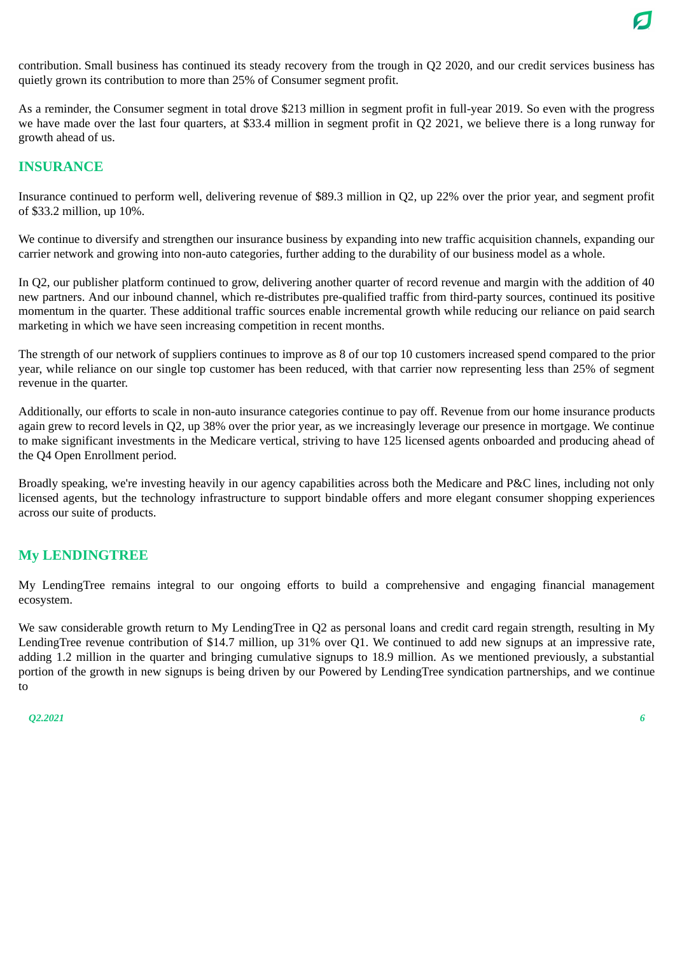

contribution. Small business has continued its steady recovery from the trough in Q2 2020, and our credit services business has quietly grown its contribution to more than 25% of Consumer segment profit.

As a reminder, the Consumer segment in total drove \$213 million in segment profit in full-year 2019. So even with the progress we have made over the last four quarters, at \$33.4 million in segment profit in Q2 2021, we believe there is a long runway for growth ahead of us.

### **INSURANCE**

Insurance continued to perform well, delivering revenue of \$89.3 million in Q2, up 22% over the prior year, and segment profit of \$33.2 million, up 10%.

We continue to diversify and strengthen our insurance business by expanding into new traffic acquisition channels, expanding our carrier network and growing into non-auto categories, further adding to the durability of our business model as a whole.

In Q2, our publisher platform continued to grow, delivering another quarter of record revenue and margin with the addition of 40 new partners. And our inbound channel, which re-distributes pre-qualified traffic from third-party sources, continued its positive momentum in the quarter. These additional traffic sources enable incremental growth while reducing our reliance on paid search marketing in which we have seen increasing competition in recent months.

The strength of our network of suppliers continues to improve as 8 of our top 10 customers increased spend compared to the prior year, while reliance on our single top customer has been reduced, with that carrier now representing less than 25% of segment revenue in the quarter.

Additionally, our efforts to scale in non-auto insurance categories continue to pay off. Revenue from our home insurance products again grew to record levels in Q2, up 38% over the prior year, as we increasingly leverage our presence in mortgage. We continue to make significant investments in the Medicare vertical, striving to have 125 licensed agents onboarded and producing ahead of the Q4 Open Enrollment period.

Broadly speaking, we're investing heavily in our agency capabilities across both the Medicare and P&C lines, including not only licensed agents, but the technology infrastructure to support bindable offers and more elegant consumer shopping experiences across our suite of products.

### **My LENDINGTREE**

My LendingTree remains integral to our ongoing efforts to build a comprehensive and engaging financial management ecosystem.

We saw considerable growth return to My LendingTree in Q2 as personal loans and credit card regain strength, resulting in My LendingTree revenue contribution of \$14.7 million, up 31% over Q1. We continued to add new signups at an impressive rate, adding 1.2 million in the quarter and bringing cumulative signups to 18.9 million. As we mentioned previously, a substantial portion of the growth in new signups is being driven by our Powered by LendingTree syndication partnerships, and we continue to

```
Q2.2021 6
```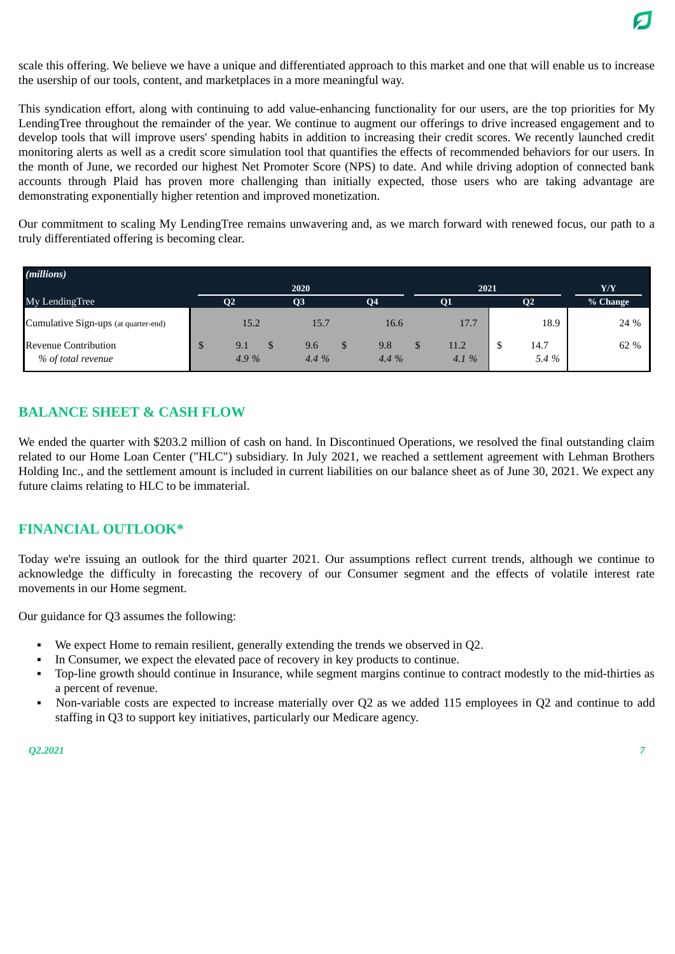scale this offering. We believe we have a unique and differentiated approach to this market and one that will enable us to increase the usership of our tools, content, and marketplaces in a more meaningful way.

This syndication effort, along with continuing to add value-enhancing functionality for our users, are the top priorities for My LendingTree throughout the remainder of the year. We continue to augment our offerings to drive increased engagement and to develop tools that will improve users' spending habits in addition to increasing their credit scores. We recently launched credit monitoring alerts as well as a credit score simulation tool that quantifies the effects of recommended behaviors for our users. In the month of June, we recorded our highest Net Promoter Score (NPS) to date. And while driving adoption of connected bank accounts through Plaid has proven more challenging than initially expected, those users who are taking advantage are demonstrating exponentially higher retention and improved monetization.

Our commitment to scaling My LendingTree remains unwavering and, as we march forward with renewed focus, our path to a truly differentiated offering is becoming clear.

| (millions)                                        |                |                   |             |              |     |                |          |
|---------------------------------------------------|----------------|-------------------|-------------|--------------|-----|----------------|----------|
|                                                   |                | $20\overline{20}$ |             | 2021         | Y/Y |                |          |
| My LendingTree                                    | Q <sub>2</sub> | Q3                | <b>Q4</b>   | Q1           |     | Q <sub>2</sub> | % Change |
| Cumulative Sign-ups (at quarter-end)              | 15.2           | 15.7              | 16.6        | 17.7         |     | 18.9           | 24 %     |
| <b>Revenue Contribution</b><br>% of total revenue | 9.1<br>4.9%    | 9.6<br>$4.4\%$    | 9.8<br>4.4% | 11.2<br>4.1% | w   | 14.7<br>5.4 %  | 62 %     |

## **BALANCE SHEET & CASH FLOW**

We ended the quarter with \$203.2 million of cash on hand. In Discontinued Operations, we resolved the final outstanding claim related to our Home Loan Center ("HLC") subsidiary. In July 2021, we reached a settlement agreement with Lehman Brothers Holding Inc., and the settlement amount is included in current liabilities on our balance sheet as of June 30, 2021. We expect any future claims relating to HLC to be immaterial.

### **FINANCIAL OUTLOOK\***

Today we're issuing an outlook for the third quarter 2021. Our assumptions reflect current trends, although we continue to acknowledge the difficulty in forecasting the recovery of our Consumer segment and the effects of volatile interest rate movements in our Home segment.

Our guidance for Q3 assumes the following:

- We expect Home to remain resilient, generally extending the trends we observed in Q2.
- In Consumer, we expect the elevated pace of recovery in key products to continue.
- Top-line growth should continue in Insurance, while segment margins continue to contract modestly to the mid-thirties as a percent of revenue.
- Non-variable costs are expected to increase materially over Q2 as we added 115 employees in Q2 and continue to add staffing in Q3 to support key initiatives, particularly our Medicare agency.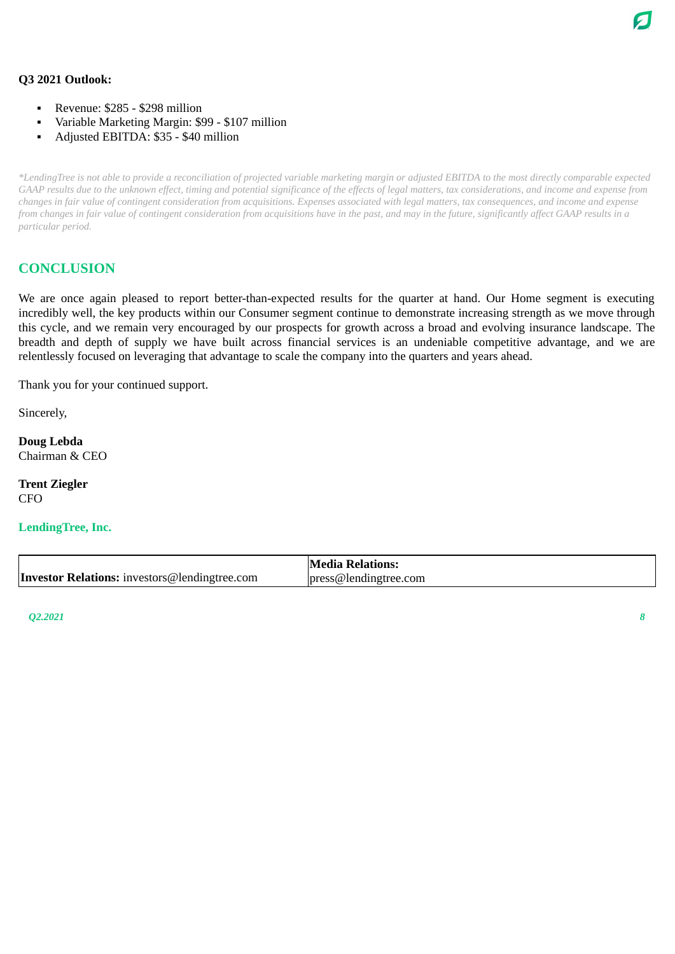### **Q3 2021 Outlook:**

- Revenue: \$285 \$298 million
- Variable Marketing Margin: \$99 \$107 million
- Adjusted EBITDA: \$35 \$40 million

\*LendingTree is not able to provide a reconciliation of projected variable marketing margin or adjusted EBITDA to the most directly comparable expected GAAP results due to the unknown effect, timing and potential significance of the effects of legal matters, tax considerations, and income and expense from changes in fair value of contingent consideration from acquisitions. Expenses associated with legal matters, tax consequences, and income and expense from changes in fair value of contingent consideration from acquisitions have in the past, and may in the future, significantly affect GAAP results in a *particular period.*

### **CONCLUSION**

We are once again pleased to report better-than-expected results for the quarter at hand. Our Home segment is executing incredibly well, the key products within our Consumer segment continue to demonstrate increasing strength as we move through this cycle, and we remain very encouraged by our prospects for growth across a broad and evolving insurance landscape. The breadth and depth of supply we have built across financial services is an undeniable competitive advantage, and we are relentlessly focused on leveraging that advantage to scale the company into the quarters and years ahead.

Thank you for your continued support.

Sincerely,

**Doug Lebda** Chairman & CEO

**Trent Ziegler** CFO

**LendingTree, Inc.**

|                                                      | <b>Media Relations:</b> |
|------------------------------------------------------|-------------------------|
| <b>Investor Relations:</b> investors@lendingtree.com | press@lendingtree.com   |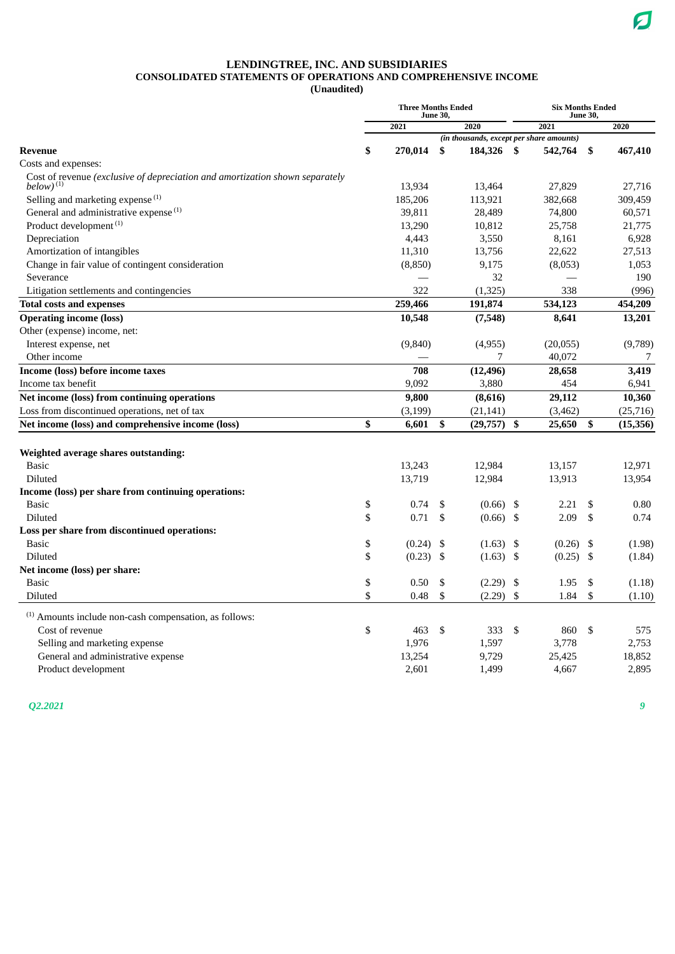### **LENDINGTREE, INC. AND SUBSIDIARIES CONSOLIDATED STATEMENTS OF OPERATIONS AND COMPREHENSIVE INCOME**

**(Unaudited)**

|                                                                                                 | <b>Three Months Ended</b> | <b>June 30,</b> |                                          | <b>Six Months Ended</b><br><b>June 30,</b> |           |    |           |
|-------------------------------------------------------------------------------------------------|---------------------------|-----------------|------------------------------------------|--------------------------------------------|-----------|----|-----------|
|                                                                                                 | 2021                      |                 | 2020                                     |                                            | 2021      |    | 2020      |
|                                                                                                 |                           |                 | (in thousands, except per share amounts) |                                            |           |    |           |
| <b>Revenue</b>                                                                                  | \$<br>270,014             | \$              | 184,326                                  | - \$                                       | 542,764   | \$ | 467,410   |
| Costs and expenses:                                                                             |                           |                 |                                          |                                            |           |    |           |
| Cost of revenue (exclusive of depreciation and amortization shown separately<br>below) $^{(1)}$ | 13,934                    |                 | 13,464                                   |                                            | 27,829    |    | 27,716    |
| Selling and marketing expense <sup>(1)</sup>                                                    | 185,206                   |                 | 113,921                                  |                                            | 382,668   |    | 309,459   |
| General and administrative expense <sup>(1)</sup>                                               | 39,811                    |                 | 28,489                                   |                                            | 74,800    |    | 60,571    |
| Product development <sup>(1)</sup>                                                              | 13,290                    |                 | 10,812                                   |                                            | 25,758    |    | 21,775    |
| Depreciation                                                                                    | 4,443                     |                 | 3,550                                    |                                            | 8,161     |    | 6,928     |
| Amortization of intangibles                                                                     | 11,310                    |                 | 13,756                                   |                                            | 22,622    |    | 27,513    |
| Change in fair value of contingent consideration                                                | (8,850)                   |                 | 9,175                                    |                                            | (8,053)   |    | 1,053     |
| Severance                                                                                       |                           |                 | 32                                       |                                            |           |    | 190       |
| Litigation settlements and contingencies                                                        | 322                       |                 | (1, 325)                                 |                                            | 338       |    | (996)     |
| <b>Total costs and expenses</b>                                                                 | 259,466                   |                 | 191,874                                  |                                            | 534,123   |    | 454,209   |
| <b>Operating income (loss)</b>                                                                  | 10,548                    |                 | (7,548)                                  |                                            | 8,641     |    | 13,201    |
| Other (expense) income, net:                                                                    |                           |                 |                                          |                                            |           |    |           |
| Interest expense, net                                                                           | (9,840)                   |                 | (4,955)                                  |                                            | (20, 055) |    | (9,789)   |
| Other income                                                                                    |                           |                 | 7                                        |                                            | 40,072    |    | 7         |
| Income (loss) before income taxes                                                               | 708                       |                 | (12, 496)                                |                                            | 28,658    |    | 3,419     |
| Income tax benefit                                                                              | 9,092                     |                 | 3,880                                    |                                            | 454       |    | 6,941     |
| Net income (loss) from continuing operations                                                    | 9,800                     |                 | (8,616)                                  |                                            | 29,112    |    | 10,360    |
| Loss from discontinued operations, net of tax                                                   | (3,199)                   |                 | (21, 141)                                |                                            | (3,462)   |    | (25, 716) |
| Net income (loss) and comprehensive income (loss)                                               | \$<br>6,601               | \$              | (29, 757)                                | \$                                         | 25,650    | \$ | (15, 356) |
|                                                                                                 |                           |                 |                                          |                                            |           |    |           |
| Weighted average shares outstanding:                                                            |                           |                 |                                          |                                            |           |    |           |
| <b>Basic</b>                                                                                    | 13,243                    |                 | 12,984                                   |                                            | 13,157    |    | 12,971    |
| Diluted                                                                                         | 13,719                    |                 | 12,984                                   |                                            | 13,913    |    | 13,954    |
| Income (loss) per share from continuing operations:                                             |                           |                 |                                          |                                            |           |    |           |
| <b>Basic</b>                                                                                    | \$<br>0.74                | \$              | (0.66)                                   | \$                                         | 2.21      | \$ | 0.80      |
| Diluted                                                                                         | \$<br>0.71                | \$              | (0.66)                                   | \$                                         | 2.09      | \$ | 0.74      |
| Loss per share from discontinued operations:                                                    |                           |                 |                                          |                                            |           |    |           |
| <b>Basic</b>                                                                                    | \$<br>$(0.24)$ \$         |                 | (1.63)                                   | \$                                         | (0.26)    | \$ | (1.98)    |
| Diluted                                                                                         | \$<br>$(0.23)$ \$         |                 | $(1.63)$ \$                              |                                            | (0.25)    | \$ | (1.84)    |
| Net income (loss) per share:                                                                    |                           |                 |                                          |                                            |           |    |           |
| <b>Basic</b>                                                                                    | \$<br>0.50                | \$              | (2.29)                                   | \$                                         | 1.95      | \$ | (1.18)    |
| Diluted                                                                                         | \$<br>0.48                | \$              | (2.29)                                   | \$                                         | 1.84      | \$ | (1.10)    |
| $(1)$ Amounts include non-cash compensation, as follows:                                        |                           |                 |                                          |                                            |           |    |           |
| Cost of revenue                                                                                 | \$<br>463                 | \$              | 333                                      | \$                                         | 860       | \$ | 575       |
| Selling and marketing expense                                                                   | 1,976                     |                 | 1,597                                    |                                            | 3,778     |    | 2,753     |
| General and administrative expense                                                              | 13,254                    |                 | 9,729                                    |                                            | 25,425    |    | 18,852    |
| Product development                                                                             | 2,601                     |                 | 1,499                                    |                                            | 4,667     |    | 2,895     |

*Q2.2021 9*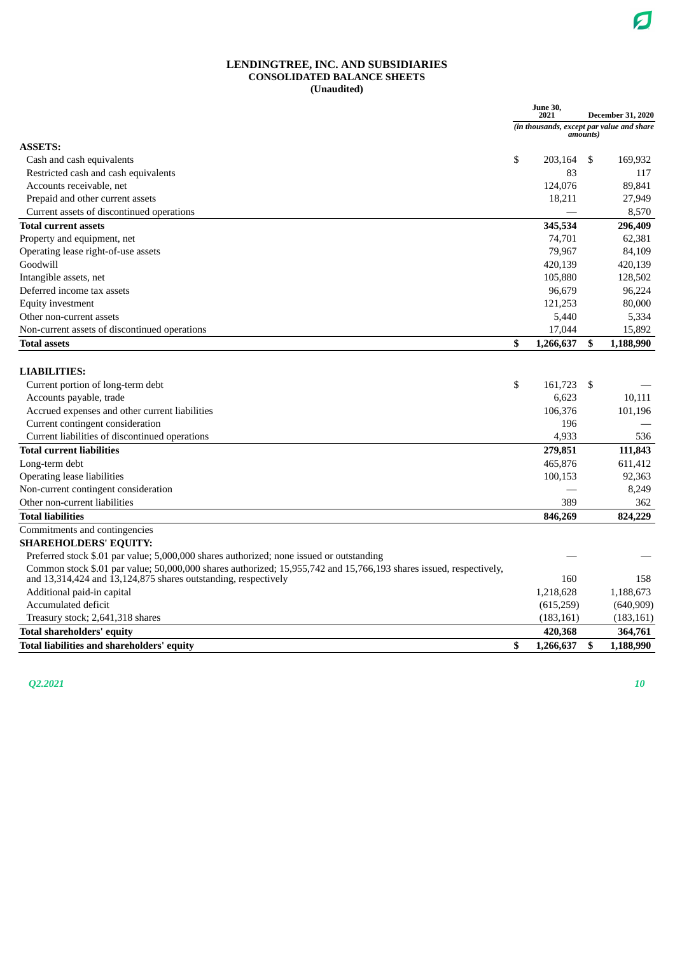#### **LENDINGTREE, INC. AND SUBSIDIARIES CONSOLIDATED BALANCE SHEETS (Unaudited)**

|                                                                                                                                                                                      | June 30,<br>2021                          | <b>December 31, 2020</b> |            |  |
|--------------------------------------------------------------------------------------------------------------------------------------------------------------------------------------|-------------------------------------------|--------------------------|------------|--|
|                                                                                                                                                                                      | (in thousands, except par value and share | amounts)                 |            |  |
| <b>ASSETS:</b>                                                                                                                                                                       |                                           |                          |            |  |
| Cash and cash equivalents                                                                                                                                                            | \$<br>203.164                             | -\$                      | 169,932    |  |
| Restricted cash and cash equivalents                                                                                                                                                 | 83                                        |                          | 117        |  |
| Accounts receivable, net                                                                                                                                                             | 124,076                                   |                          | 89,841     |  |
| Prepaid and other current assets                                                                                                                                                     | 18,211                                    |                          | 27,949     |  |
| Current assets of discontinued operations                                                                                                                                            |                                           |                          | 8,570      |  |
| <b>Total current assets</b>                                                                                                                                                          | 345,534                                   |                          | 296,409    |  |
| Property and equipment, net                                                                                                                                                          | 74,701                                    |                          | 62,381     |  |
| Operating lease right-of-use assets                                                                                                                                                  | 79.967                                    |                          | 84,109     |  |
| Goodwill                                                                                                                                                                             | 420,139                                   |                          | 420,139    |  |
| Intangible assets, net                                                                                                                                                               | 105,880                                   |                          | 128,502    |  |
| Deferred income tax assets                                                                                                                                                           | 96,679                                    |                          | 96,224     |  |
| <b>Equity investment</b>                                                                                                                                                             | 121,253                                   |                          | 80,000     |  |
| Other non-current assets                                                                                                                                                             | 5,440                                     |                          | 5,334      |  |
| Non-current assets of discontinued operations                                                                                                                                        | 17,044                                    |                          | 15,892     |  |
| <b>Total assets</b>                                                                                                                                                                  | \$<br>1,266,637                           | \$                       | 1,188,990  |  |
|                                                                                                                                                                                      |                                           |                          |            |  |
| <b>LIABILITIES:</b>                                                                                                                                                                  |                                           |                          |            |  |
| Current portion of long-term debt                                                                                                                                                    | \$<br>161,723                             | \$                       |            |  |
| Accounts payable, trade                                                                                                                                                              | 6,623                                     |                          | 10,111     |  |
| Accrued expenses and other current liabilities                                                                                                                                       | 106,376                                   |                          | 101,196    |  |
| Current contingent consideration                                                                                                                                                     | 196                                       |                          |            |  |
| Current liabilities of discontinued operations                                                                                                                                       | 4,933                                     |                          | 536        |  |
| <b>Total current liabilities</b>                                                                                                                                                     | 279,851                                   |                          | 111,843    |  |
| Long-term debt                                                                                                                                                                       | 465,876                                   |                          | 611,412    |  |
| Operating lease liabilities                                                                                                                                                          | 100,153                                   |                          | 92,363     |  |
| Non-current contingent consideration                                                                                                                                                 |                                           |                          | 8,249      |  |
| Other non-current liabilities                                                                                                                                                        | 389                                       |                          | 362        |  |
| <b>Total liabilities</b>                                                                                                                                                             | 846,269                                   |                          | 824,229    |  |
| Commitments and contingencies                                                                                                                                                        |                                           |                          |            |  |
| <b>SHAREHOLDERS' EQUITY:</b>                                                                                                                                                         |                                           |                          |            |  |
| Preferred stock \$.01 par value; 5,000,000 shares authorized; none issued or outstanding                                                                                             |                                           |                          |            |  |
| Common stock \$.01 par value; 50,000,000 shares authorized; 15,955,742 and 15,766,193 shares issued, respectively,<br>and 13,314,424 and 13,124,875 shares outstanding, respectively | 160                                       |                          | 158        |  |
| Additional paid-in capital                                                                                                                                                           | 1,218,628                                 |                          | 1,188,673  |  |
| Accumulated deficit                                                                                                                                                                  | (615,259)                                 |                          | (640, 909) |  |
| Treasury stock; 2,641,318 shares                                                                                                                                                     | (183, 161)                                |                          | (183, 161) |  |
| <b>Total shareholders' equity</b>                                                                                                                                                    | 420,368                                   |                          | 364,761    |  |
| Total liabilities and shareholders' equity                                                                                                                                           | \$<br>1,266,637                           | \$                       | 1,188,990  |  |

*Q2.2021 10*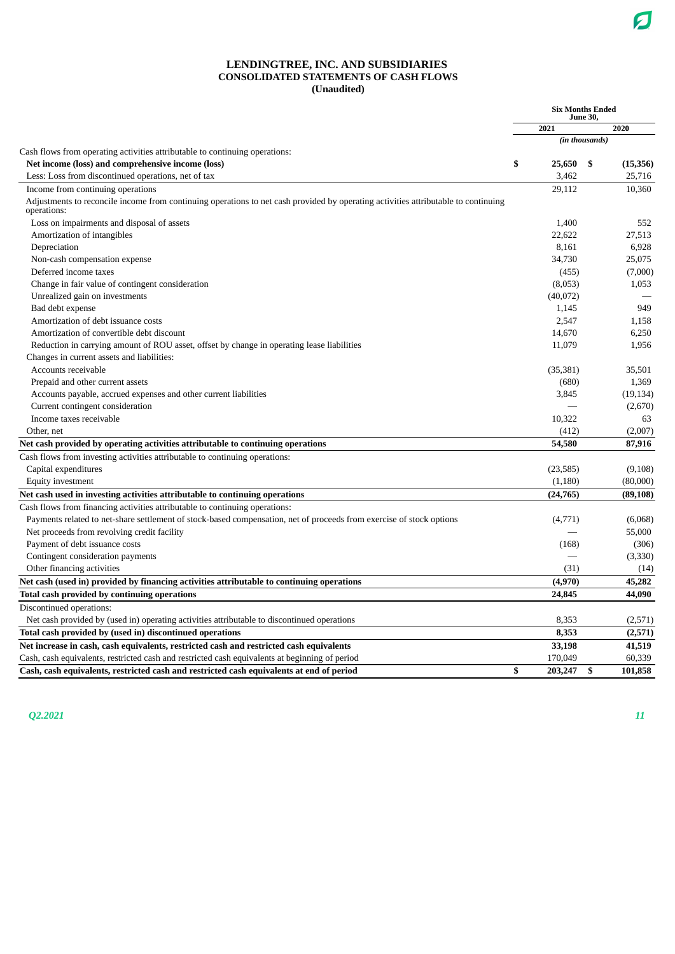#### **LENDINGTREE, INC. AND SUBSIDIARIES CONSOLIDATED STATEMENTS OF CASH FLOWS (Unaudited)**

|                                                                                                                                                   |    | <b>Six Months Ended</b> |                |           |
|---------------------------------------------------------------------------------------------------------------------------------------------------|----|-------------------------|----------------|-----------|
|                                                                                                                                                   |    | 2021                    |                | 2020      |
|                                                                                                                                                   |    |                         | (in thousands) |           |
| Cash flows from operating activities attributable to continuing operations:                                                                       |    |                         |                |           |
| Net income (loss) and comprehensive income (loss)                                                                                                 | \$ | 25,650                  | \$             | (15,356)  |
| Less: Loss from discontinued operations, net of tax                                                                                               |    | 3,462                   |                | 25,716    |
| Income from continuing operations                                                                                                                 |    | 29,112                  |                | 10,360    |
| Adjustments to reconcile income from continuing operations to net cash provided by operating activities attributable to continuing<br>operations: |    |                         |                |           |
| Loss on impairments and disposal of assets                                                                                                        |    | 1,400                   |                | 552       |
| Amortization of intangibles                                                                                                                       |    | 22,622                  |                | 27,513    |
| Depreciation                                                                                                                                      |    | 8,161                   |                | 6,928     |
| Non-cash compensation expense                                                                                                                     |    | 34,730                  |                | 25,075    |
| Deferred income taxes                                                                                                                             |    | (455)                   |                | (7,000)   |
| Change in fair value of contingent consideration                                                                                                  |    | (8,053)                 |                | 1,053     |
| Unrealized gain on investments                                                                                                                    |    | (40,072)                |                |           |
| Bad debt expense                                                                                                                                  |    | 1,145                   |                | 949       |
| Amortization of debt issuance costs                                                                                                               |    | 2,547                   |                | 1,158     |
| Amortization of convertible debt discount                                                                                                         |    | 14,670                  |                | 6,250     |
| Reduction in carrying amount of ROU asset, offset by change in operating lease liabilities                                                        |    | 11,079                  |                | 1,956     |
| Changes in current assets and liabilities:                                                                                                        |    |                         |                |           |
| Accounts receivable                                                                                                                               |    | (35, 381)               |                | 35,501    |
| Prepaid and other current assets                                                                                                                  |    | (680)                   |                | 1,369     |
| Accounts payable, accrued expenses and other current liabilities                                                                                  |    | 3,845                   |                | (19, 134) |
| Current contingent consideration                                                                                                                  |    |                         |                | (2,670)   |
| Income taxes receivable                                                                                                                           |    | 10,322                  |                | 63        |
| Other, net                                                                                                                                        |    | (412)                   |                | (2,007)   |
| Net cash provided by operating activities attributable to continuing operations                                                                   |    | 54,580                  |                | 87,916    |
| Cash flows from investing activities attributable to continuing operations:                                                                       |    |                         |                |           |
| Capital expenditures                                                                                                                              |    | (23, 585)               |                | (9,108)   |
| Equity investment                                                                                                                                 |    | (1,180)                 |                | (80,000)  |
| Net cash used in investing activities attributable to continuing operations                                                                       |    | (24, 765)               |                | (89, 108) |
| Cash flows from financing activities attributable to continuing operations:                                                                       |    |                         |                |           |
| Payments related to net-share settlement of stock-based compensation, net of proceeds from exercise of stock options                              |    | (4,771)                 |                | (6,068)   |
| Net proceeds from revolving credit facility                                                                                                       |    |                         |                | 55,000    |
| Payment of debt issuance costs                                                                                                                    |    | (168)                   |                | (306)     |
| Contingent consideration payments                                                                                                                 |    |                         |                | (3,330)   |
| Other financing activities                                                                                                                        |    | (31)                    |                | (14)      |
| Net cash (used in) provided by financing activities attributable to continuing operations                                                         |    | (4,970)                 |                | 45,282    |
| Total cash provided by continuing operations                                                                                                      |    | 24,845                  |                | 44,090    |
| Discontinued operations:                                                                                                                          |    |                         |                |           |
| Net cash provided by (used in) operating activities attributable to discontinued operations                                                       |    | 8,353                   |                | (2,571)   |
| Total cash provided by (used in) discontinued operations                                                                                          |    | 8,353                   |                | (2,571)   |
| Net increase in cash, cash equivalents, restricted cash and restricted cash equivalents                                                           |    | 33,198                  |                | 41,519    |
| Cash, cash equivalents, restricted cash and restricted cash equivalents at beginning of period                                                    |    | 170,049                 |                | 60,339    |
| Cash, cash equivalents, restricted cash and restricted cash equivalents at end of period                                                          | \$ | 203,247                 | \$             | 101,858   |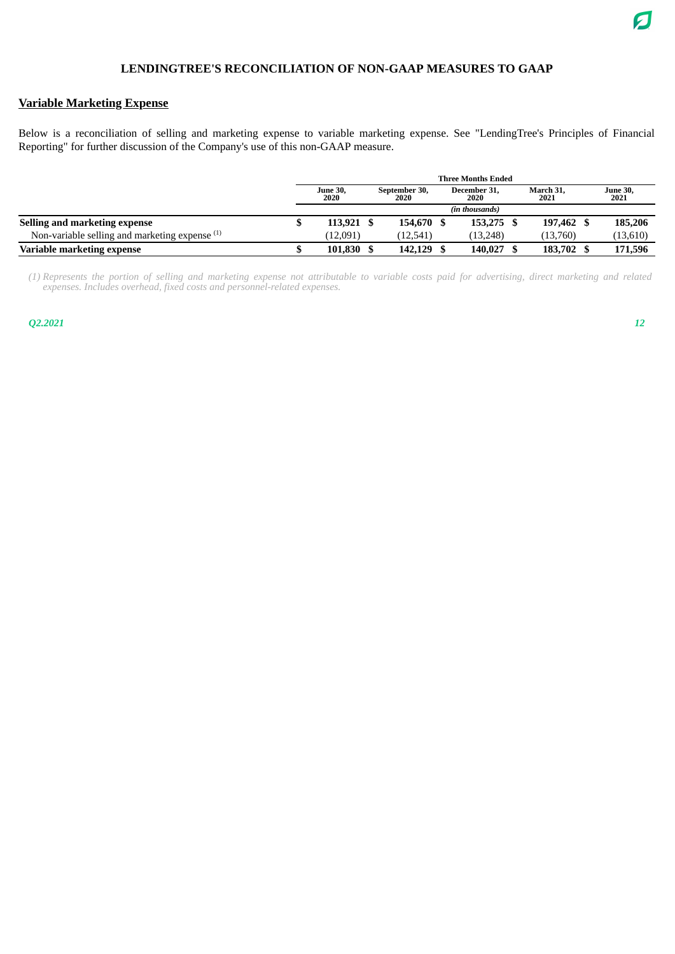### **Variable Marketing Expense**

Below is a reconciliation of selling and marketing expense to variable marketing expense. See "LendingTree's Principles of Financial Reporting" for further discussion of the Company's use of this non-GAAP measure.

|                                                  | <b>Three Months Ended</b> |  |                       |  |                      |  |                   |  |                         |  |
|--------------------------------------------------|---------------------------|--|-----------------------|--|----------------------|--|-------------------|--|-------------------------|--|
|                                                  | <b>June 30,</b><br>2020   |  | September 30,<br>2020 |  | December 31.<br>2020 |  | March 31,<br>2021 |  | <b>June 30,</b><br>2021 |  |
|                                                  |                           |  |                       |  | (in thousands)       |  |                   |  |                         |  |
| Selling and marketing expense                    | 113,921                   |  | 154,670 \$            |  | 153.275              |  | 197,462 \$        |  | 185,206                 |  |
| Non-variable selling and marketing expense $(1)$ | (12.091)                  |  | (12.541)              |  | (13.248)             |  | (13,760)          |  | (13,610)                |  |
| Variable marketing expense                       | 101,830                   |  | 142,129 \$            |  | 140.027              |  | 183,702 \$        |  | 171,596                 |  |

(1) Represents the portion of selling and marketing expense not attributable to variable costs paid for advertising, direct marketing and related *expenses. Includes overhead, fixed costs and personnel-related expenses.*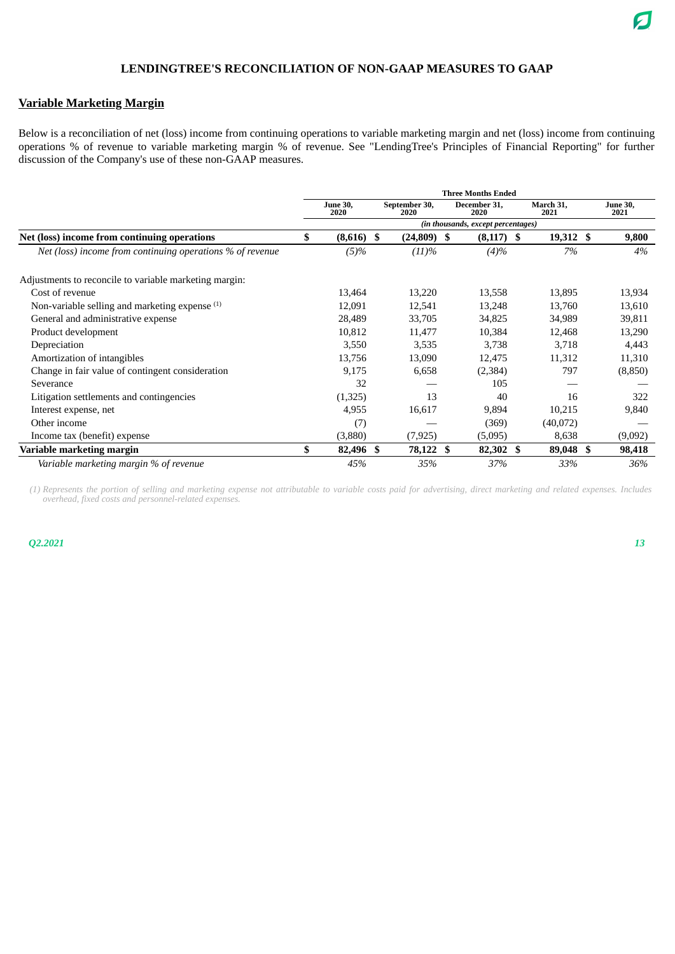### **Variable Marketing Margin**

Below is a reconciliation of net (loss) income from continuing operations to variable marketing margin and net (loss) income from continuing operations % of revenue to variable marketing margin % of revenue. See "LendingTree's Principles of Financial Reporting" for further discussion of the Company's use of these non-GAAP measures.

|                                                           |                                    |                         |  |                       |  | <b>Three Months Ended</b> |  |                   |  |                         |  |  |
|-----------------------------------------------------------|------------------------------------|-------------------------|--|-----------------------|--|---------------------------|--|-------------------|--|-------------------------|--|--|
|                                                           |                                    | <b>June 30,</b><br>2020 |  | September 30,<br>2020 |  | December 31,<br>2020      |  | March 31,<br>2021 |  | <b>June 30,</b><br>2021 |  |  |
|                                                           | (in thousands, except percentages) |                         |  |                       |  |                           |  |                   |  |                         |  |  |
| Net (loss) income from continuing operations              | \$                                 | $(8,616)$ \$            |  | $(24,809)$ \$         |  | $(8,117)$ \$              |  | 19,312 \$         |  | 9,800                   |  |  |
| Net (loss) income from continuing operations % of revenue |                                    | $(5)\%$                 |  | (11)%                 |  | (4)%                      |  | 7%                |  | 4%                      |  |  |
| Adjustments to reconcile to variable marketing margin:    |                                    |                         |  |                       |  |                           |  |                   |  |                         |  |  |
| Cost of revenue                                           |                                    | 13,464                  |  | 13,220                |  | 13,558                    |  | 13,895            |  | 13,934                  |  |  |
| Non-variable selling and marketing expense (1)            |                                    | 12,091                  |  | 12,541                |  | 13,248                    |  | 13,760            |  | 13,610                  |  |  |
| General and administrative expense                        |                                    | 28,489                  |  | 33,705                |  | 34,825                    |  | 34,989            |  | 39,811                  |  |  |
| Product development                                       |                                    | 10,812                  |  | 11,477                |  | 10,384                    |  | 12,468            |  | 13,290                  |  |  |
| Depreciation                                              |                                    | 3,550                   |  | 3,535                 |  | 3,738                     |  | 3,718             |  | 4,443                   |  |  |
| Amortization of intangibles                               |                                    | 13,756                  |  | 13,090                |  | 12,475                    |  | 11,312            |  | 11,310                  |  |  |
| Change in fair value of contingent consideration          |                                    | 9,175                   |  | 6,658                 |  | (2, 384)                  |  | 797               |  | (8,850)                 |  |  |
| Severance                                                 |                                    | 32                      |  |                       |  | 105                       |  |                   |  |                         |  |  |
| Litigation settlements and contingencies                  |                                    | (1,325)                 |  | 13                    |  | 40                        |  | 16                |  | 322                     |  |  |
| Interest expense, net                                     |                                    | 4,955                   |  | 16,617                |  | 9,894                     |  | 10,215            |  | 9,840                   |  |  |
| Other income                                              |                                    | (7)                     |  |                       |  | (369)                     |  | (40,072)          |  |                         |  |  |
| Income tax (benefit) expense                              |                                    | (3,880)                 |  | (7, 925)              |  | (5,095)                   |  | 8,638             |  | (9,092)                 |  |  |
| Variable marketing margin                                 | \$                                 | 82,496 \$               |  | 78,122 \$             |  | 82,302 \$                 |  | 89,048 \$         |  | 98,418                  |  |  |
| Variable marketing margin % of revenue                    |                                    | 45%                     |  | 35%                   |  | 37%                       |  | 33%               |  | 36%                     |  |  |

*(1) Represents the portion of selling and marketing expense not attributable to variable costs paid for advertising, direct marketing and related expenses. Includes overhead, fixed costs and personnel-related expenses.*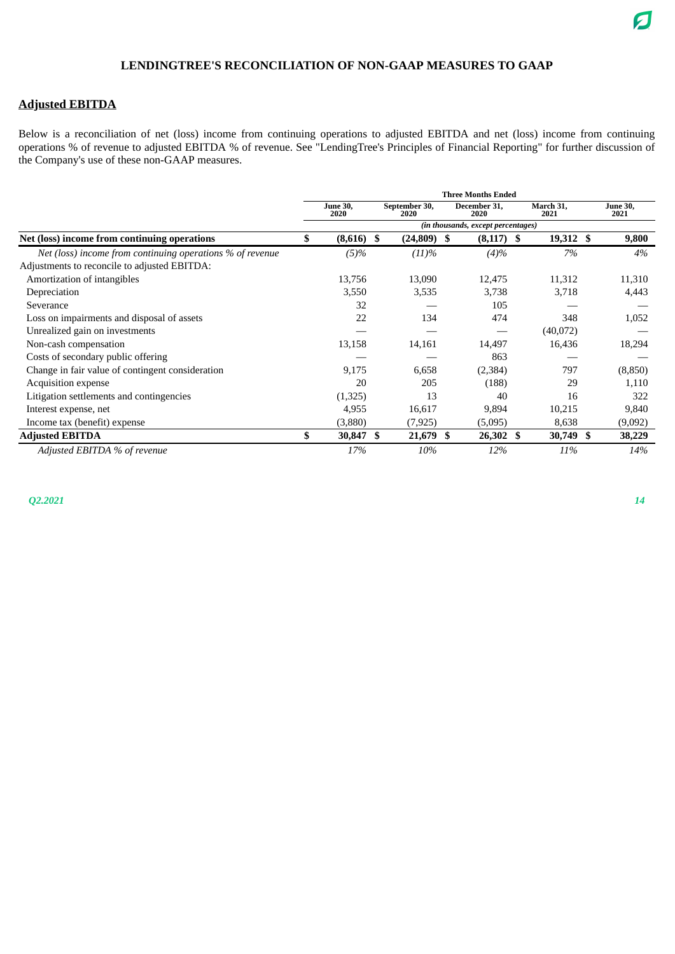### **Adjusted EBITDA**

Below is a reconciliation of net (loss) income from continuing operations to adjusted EBITDA and net (loss) income from continuing operations % of revenue to adjusted EBITDA % of revenue. See "LendingTree's Principles of Financial Reporting" for further discussion of the Company's use of these non-GAAP measures.

|                                                           | <b>Three Months Ended</b><br>March 31,<br>September 30,<br>December 31,<br><b>June 30,</b><br>2020<br>2021<br>2020<br>2020<br>(in thousands, except percentages)<br>\$<br>$(8,616)$ \$<br>$(24,809)$ \$<br>19,312 \$<br>$(8,117)$ \$<br>(11)%<br>$(4)\%$<br>7%<br>$(5)\%$<br>13,756<br>13,090<br>11,312<br>12,475<br>3,550<br>3,535<br>3,738<br>3,718<br>32<br>105<br>22<br>134<br>474<br>348<br>(40,072) |           |  |           |  |           |  |                         |  |  |
|-----------------------------------------------------------|-----------------------------------------------------------------------------------------------------------------------------------------------------------------------------------------------------------------------------------------------------------------------------------------------------------------------------------------------------------------------------------------------------------|-----------|--|-----------|--|-----------|--|-------------------------|--|--|
|                                                           |                                                                                                                                                                                                                                                                                                                                                                                                           |           |  |           |  |           |  | <b>June 30,</b><br>2021 |  |  |
|                                                           |                                                                                                                                                                                                                                                                                                                                                                                                           |           |  |           |  |           |  |                         |  |  |
| Net (loss) income from continuing operations              |                                                                                                                                                                                                                                                                                                                                                                                                           |           |  |           |  |           |  | 9,800                   |  |  |
| Net (loss) income from continuing operations % of revenue |                                                                                                                                                                                                                                                                                                                                                                                                           |           |  |           |  |           |  | 4%                      |  |  |
| Adjustments to reconcile to adjusted EBITDA:              |                                                                                                                                                                                                                                                                                                                                                                                                           |           |  |           |  |           |  |                         |  |  |
| Amortization of intangibles                               |                                                                                                                                                                                                                                                                                                                                                                                                           |           |  |           |  |           |  | 11,310                  |  |  |
| Depreciation                                              |                                                                                                                                                                                                                                                                                                                                                                                                           |           |  |           |  |           |  | 4,443                   |  |  |
| Severance                                                 |                                                                                                                                                                                                                                                                                                                                                                                                           |           |  |           |  |           |  |                         |  |  |
| Loss on impairments and disposal of assets                |                                                                                                                                                                                                                                                                                                                                                                                                           |           |  |           |  |           |  | 1,052                   |  |  |
| Unrealized gain on investments                            |                                                                                                                                                                                                                                                                                                                                                                                                           |           |  |           |  |           |  |                         |  |  |
| Non-cash compensation                                     | 13,158                                                                                                                                                                                                                                                                                                                                                                                                    | 14,161    |  | 14,497    |  | 16,436    |  | 18,294                  |  |  |
| Costs of secondary public offering                        |                                                                                                                                                                                                                                                                                                                                                                                                           |           |  | 863       |  |           |  |                         |  |  |
| Change in fair value of contingent consideration          | 9,175                                                                                                                                                                                                                                                                                                                                                                                                     | 6,658     |  | (2, 384)  |  | 797       |  | (8,850)                 |  |  |
| Acquisition expense                                       | 20                                                                                                                                                                                                                                                                                                                                                                                                        | 205       |  | (188)     |  | 29        |  | 1,110                   |  |  |
| Litigation settlements and contingencies                  | (1,325)                                                                                                                                                                                                                                                                                                                                                                                                   | 13        |  | 40        |  | 16        |  | 322                     |  |  |
| Interest expense, net                                     | 4,955                                                                                                                                                                                                                                                                                                                                                                                                     | 16,617    |  | 9,894     |  | 10,215    |  | 9,840                   |  |  |
| Income tax (benefit) expense                              | (3,880)                                                                                                                                                                                                                                                                                                                                                                                                   | (7, 925)  |  | (5,095)   |  | 8,638     |  | (9,092)                 |  |  |
| <b>Adjusted EBITDA</b>                                    | \$<br>30,847 \$                                                                                                                                                                                                                                                                                                                                                                                           | 21,679 \$ |  | 26,302 \$ |  | 30,749 \$ |  | 38,229                  |  |  |
| Adjusted EBITDA % of revenue                              | 17%                                                                                                                                                                                                                                                                                                                                                                                                       | 10%       |  | 12%       |  | 11%       |  | 14%                     |  |  |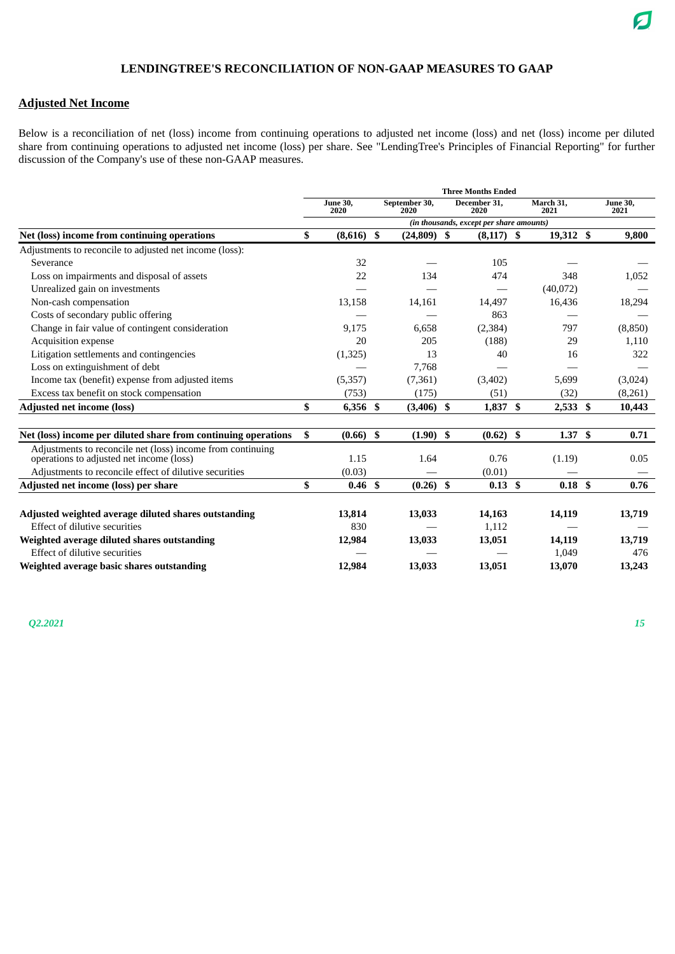### **Adjusted Net Income**

Below is a reconciliation of net (loss) income from continuing operations to adjusted net income (loss) and net (loss) income per diluted share from continuing operations to adjusted net income (loss) per share. See "LendingTree's Principles of Financial Reporting" for further discussion of the Company's use of these non-GAAP measures.

|                                                                |                         |                       |      | <b>Three Months Ended</b>                |    |                   |                         |
|----------------------------------------------------------------|-------------------------|-----------------------|------|------------------------------------------|----|-------------------|-------------------------|
|                                                                | <b>June 30,</b><br>2020 | September 30,<br>2020 |      | December 31.<br>2020                     |    | March 31,<br>2021 | <b>June 30,</b><br>2021 |
|                                                                |                         |                       |      | (in thousands, except per share amounts) |    |                   |                         |
| Net (loss) income from continuing operations                   | \$<br>$(8,616)$ \$      | $(24,809)$ \$         |      | $(8,117)$ \$                             |    | 19,312 \$         | 9,800                   |
| Adjustments to reconcile to adjusted net income (loss):        |                         |                       |      |                                          |    |                   |                         |
| Severance                                                      | 32                      |                       |      | 105                                      |    |                   |                         |
| Loss on impairments and disposal of assets                     | 22                      | 134                   |      | 474                                      |    | 348               | 1,052                   |
| Unrealized gain on investments                                 |                         |                       |      |                                          |    | (40,072)          |                         |
| Non-cash compensation                                          | 13,158                  | 14,161                |      | 14,497                                   |    | 16,436            | 18,294                  |
| Costs of secondary public offering                             |                         |                       |      | 863                                      |    |                   |                         |
| Change in fair value of contingent consideration               | 9,175                   | 6,658                 |      | (2, 384)                                 |    | 797               | (8, 850)                |
| <b>Acquisition expense</b>                                     | 20                      | 205                   |      | (188)                                    |    | 29                | 1,110                   |
| Litigation settlements and contingencies                       | (1,325)                 | 13                    |      | 40                                       |    | 16                | 322                     |
| Loss on extinguishment of debt                                 |                         | 7,768                 |      |                                          |    |                   |                         |
| Income tax (benefit) expense from adjusted items               | (5,357)                 | (7, 361)              |      | (3,402)                                  |    | 5,699             | (3,024)                 |
| Excess tax benefit on stock compensation                       | (753)                   | (175)                 |      | (51)                                     |    | (32)              | (8,261)                 |
| <b>Adjusted net income (loss)</b>                              | \$<br>6,356 \$          | (3,406)               | - \$ | 1,837                                    | -S | $2,533$ \$        | 10,443                  |
| Net (loss) income per diluted share from continuing operations | \$<br>$(0.66)$ \$       | $(1.90)$ \$           |      | $(0.62)$ \$                              |    | 1.37 <sup>°</sup> | 0.71                    |
| Adjustments to reconcile net (loss) income from continuing     |                         |                       |      |                                          |    |                   |                         |
| operations to adjusted net income (loss)                       | 1.15                    | 1.64                  |      | 0.76                                     |    | (1.19)            | 0.05                    |
| Adjustments to reconcile effect of dilutive securities         | (0.03)                  |                       |      | (0.01)                                   |    |                   |                         |
| Adjusted net income (loss) per share                           | \$<br>0.46 <sup>5</sup> | $(0.26)$ \$           |      | $0.13 \;$ \$                             |    | 0.18 <sup>5</sup> | 0.76                    |
| Adjusted weighted average diluted shares outstanding           | 13,814                  | 13,033                |      | 14,163                                   |    | 14,119            | 13,719                  |
| Effect of dilutive securities                                  | 830                     |                       |      | 1,112                                    |    |                   |                         |
| Weighted average diluted shares outstanding                    | 12,984                  | 13,033                |      | 13,051                                   |    | 14,119            | 13,719                  |
| Effect of dilutive securities                                  |                         |                       |      |                                          |    | 1,049             | 476                     |
| Weighted average basic shares outstanding                      | 12,984                  | 13,033                |      | 13,051                                   |    | 13,070            | 13,243                  |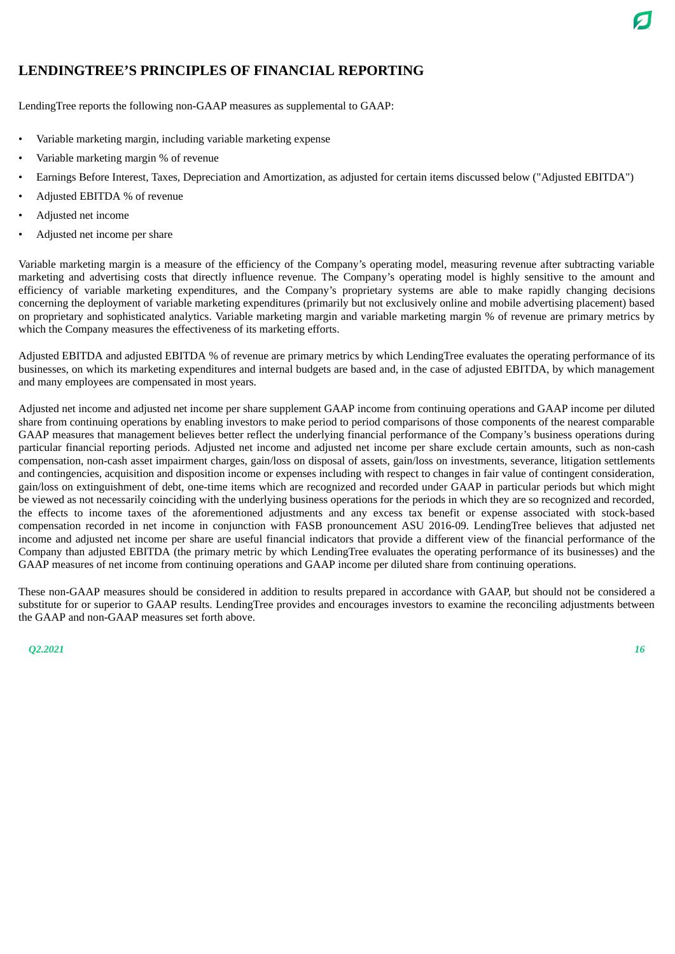## **LENDINGTREE'S PRINCIPLES OF FINANCIAL REPORTING**

LendingTree reports the following non-GAAP measures as supplemental to GAAP:

- Variable marketing margin, including variable marketing expense
- Variable marketing margin % of revenue
- Earnings Before Interest, Taxes, Depreciation and Amortization, as adjusted for certain items discussed below ("Adjusted EBITDA")
- Adjusted EBITDA % of revenue
- Adjusted net income
- Adjusted net income per share

Variable marketing margin is a measure of the efficiency of the Company's operating model, measuring revenue after subtracting variable marketing and advertising costs that directly influence revenue. The Company's operating model is highly sensitive to the amount and efficiency of variable marketing expenditures, and the Company's proprietary systems are able to make rapidly changing decisions concerning the deployment of variable marketing expenditures (primarily but not exclusively online and mobile advertising placement) based on proprietary and sophisticated analytics. Variable marketing margin and variable marketing margin % of revenue are primary metrics by which the Company measures the effectiveness of its marketing efforts.

Adjusted EBITDA and adjusted EBITDA % of revenue are primary metrics by which LendingTree evaluates the operating performance of its businesses, on which its marketing expenditures and internal budgets are based and, in the case of adjusted EBITDA, by which management and many employees are compensated in most years.

Adjusted net income and adjusted net income per share supplement GAAP income from continuing operations and GAAP income per diluted share from continuing operations by enabling investors to make period to period comparisons of those components of the nearest comparable GAAP measures that management believes better reflect the underlying financial performance of the Company's business operations during particular financial reporting periods. Adjusted net income and adjusted net income per share exclude certain amounts, such as non-cash compensation, non-cash asset impairment charges, gain/loss on disposal of assets, gain/loss on investments, severance, litigation settlements and contingencies, acquisition and disposition income or expenses including with respect to changes in fair value of contingent consideration, gain/loss on extinguishment of debt, one-time items which are recognized and recorded under GAAP in particular periods but which might be viewed as not necessarily coinciding with the underlying business operations for the periods in which they are so recognized and recorded, the effects to income taxes of the aforementioned adjustments and any excess tax benefit or expense associated with stock-based compensation recorded in net income in conjunction with FASB pronouncement ASU 2016-09. LendingTree believes that adjusted net income and adjusted net income per share are useful financial indicators that provide a different view of the financial performance of the Company than adjusted EBITDA (the primary metric by which LendingTree evaluates the operating performance of its businesses) and the GAAP measures of net income from continuing operations and GAAP income per diluted share from continuing operations.

These non-GAAP measures should be considered in addition to results prepared in accordance with GAAP, but should not be considered a substitute for or superior to GAAP results. LendingTree provides and encourages investors to examine the reconciling adjustments between the GAAP and non-GAAP measures set forth above.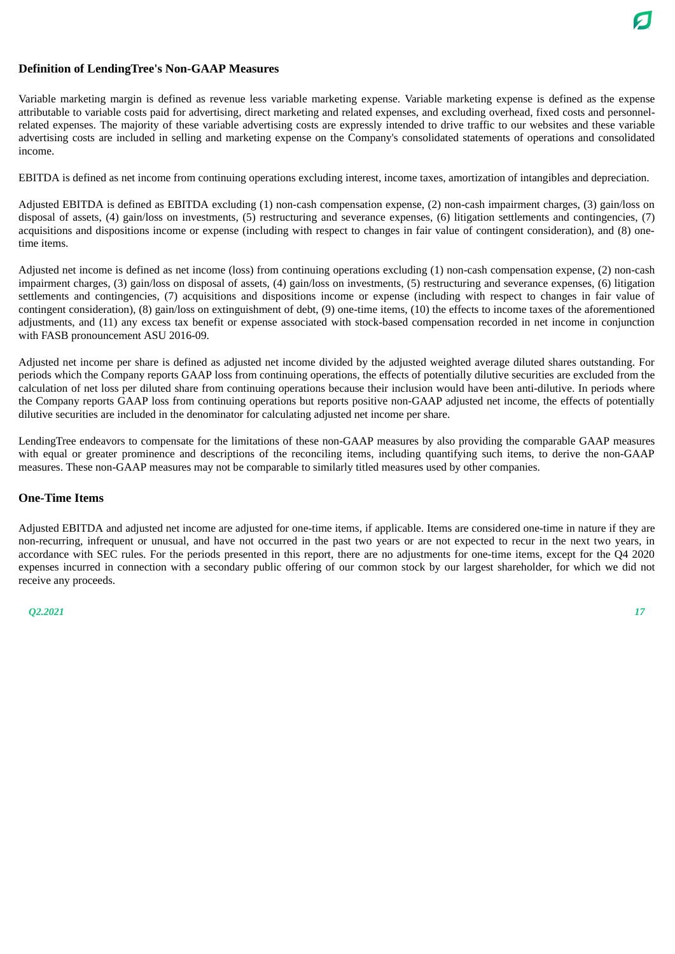

### **Definition of LendingTree's Non-GAAP Measures**

Variable marketing margin is defined as revenue less variable marketing expense. Variable marketing expense is defined as the expense attributable to variable costs paid for advertising, direct marketing and related expenses, and excluding overhead, fixed costs and personnelrelated expenses. The majority of these variable advertising costs are expressly intended to drive traffic to our websites and these variable advertising costs are included in selling and marketing expense on the Company's consolidated statements of operations and consolidated income.

EBITDA is defined as net income from continuing operations excluding interest, income taxes, amortization of intangibles and depreciation.

Adjusted EBITDA is defined as EBITDA excluding (1) non-cash compensation expense, (2) non-cash impairment charges, (3) gain/loss on disposal of assets, (4) gain/loss on investments, (5) restructuring and severance expenses, (6) litigation settlements and contingencies, (7) acquisitions and dispositions income or expense (including with respect to changes in fair value of contingent consideration), and (8) onetime items.

Adjusted net income is defined as net income (loss) from continuing operations excluding (1) non-cash compensation expense, (2) non-cash impairment charges, (3) gain/loss on disposal of assets, (4) gain/loss on investments, (5) restructuring and severance expenses, (6) litigation settlements and contingencies, (7) acquisitions and dispositions income or expense (including with respect to changes in fair value of contingent consideration), (8) gain/loss on extinguishment of debt, (9) one-time items, (10) the effects to income taxes of the aforementioned adjustments, and (11) any excess tax benefit or expense associated with stock-based compensation recorded in net income in conjunction with FASB pronouncement ASU 2016-09.

Adjusted net income per share is defined as adjusted net income divided by the adjusted weighted average diluted shares outstanding. For periods which the Company reports GAAP loss from continuing operations, the effects of potentially dilutive securities are excluded from the calculation of net loss per diluted share from continuing operations because their inclusion would have been anti-dilutive. In periods where the Company reports GAAP loss from continuing operations but reports positive non-GAAP adjusted net income, the effects of potentially dilutive securities are included in the denominator for calculating adjusted net income per share.

LendingTree endeavors to compensate for the limitations of these non-GAAP measures by also providing the comparable GAAP measures with equal or greater prominence and descriptions of the reconciling items, including quantifying such items, to derive the non-GAAP measures. These non-GAAP measures may not be comparable to similarly titled measures used by other companies.

#### **One-Time Items**

Adjusted EBITDA and adjusted net income are adjusted for one-time items, if applicable. Items are considered one-time in nature if they are non-recurring, infrequent or unusual, and have not occurred in the past two years or are not expected to recur in the next two years, in accordance with SEC rules. For the periods presented in this report, there are no adjustments for one-time items, except for the Q4 2020 expenses incurred in connection with a secondary public offering of our common stock by our largest shareholder, for which we did not receive any proceeds.